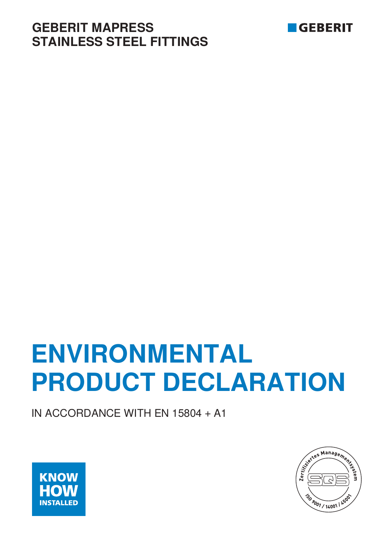# **GEBERIT MAPRESS STAINLESS STEEL FITTINGS**



# **ENVIRONMENTAL PRODUCT DECLARATION**

IN ACCORDANCE WITH EN 15804 + A1



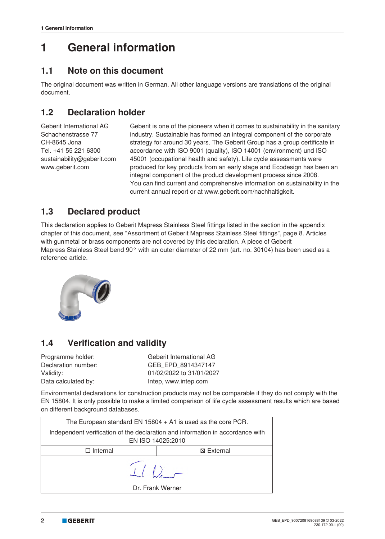# **1 General information**

## **1.1 Note on this document**

The original document was written in German. All other language versions are translations of the original document.

## **1.2 Declaration holder**

Geberit International AG Schachenstrasse 77 CH-8645 Jona Tel. +41 55 221 6300 sustainability@geberit.com www.geberit.com

Geberit is one of the pioneers when it comes to sustainability in the sanitary industry. Sustainable has formed an integral component of the corporate strategy for around 30 years. The Geberit Group has a group certificate in accordance with ISO 9001 (quality), ISO 14001 (environment) und ISO 45001 (occupational health and safety). Life cycle assessments were produced for key products from an early stage and Ecodesign has been an integral component of the product development process since 2008. You can find current and comprehensive information on sustainability in the current annual report or at www.geberit.com/nachhaltigkeit.

## **1.3 Declared product**

This declaration applies to Geberit Mapress Stainless Steel fittings listed in the section in the appendix chapter of this document, see "Assortment of Geberit Mapress Stainless Steel fittings", page 8. Articles with gunmetal or brass components are not covered by this declaration. A piece of Geberit Mapress Stainless Steel bend 90° with an outer diameter of 22 mm (art. no. 30104) has been used as a reference article.



## **1.4 Verification and validity**

Programme holder: Geberit International AG Declaration number: GEB\_EPD\_8914347147 Validity: 01/02/2022 to 31/01/2027 Data calculated by: Intep, www.intep.com

Environmental declarations for construction products may not be comparable if they do not comply with the EN 15804. It is only possible to make a limited comparison of life cycle assessment results which are based on different background databases.

| The European standard EN $15804 + A1$ is used as the core PCR.                                      |                                    |  |  |  |
|-----------------------------------------------------------------------------------------------------|------------------------------------|--|--|--|
| Independent verification of the declaration and information in accordance with<br>EN ISO 14025:2010 |                                    |  |  |  |
| $\Box$ Internal                                                                                     | ⊠ External                         |  |  |  |
|                                                                                                     | $\perp$ $\sim$<br>Dr. Frank Werner |  |  |  |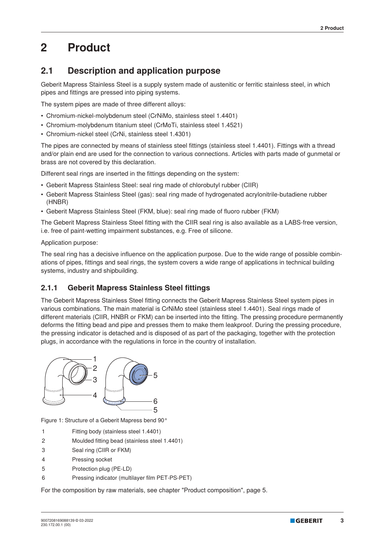# **2 Product**

## **2.1 Description and application purpose**

Geberit Mapress Stainless Steel is a supply system made of austenitic or ferritic stainless steel, in which pipes and fittings are pressed into piping systems.

The system pipes are made of three different alloys:

- Chromium-nickel-molybdenum steel (CrNiMo, stainless steel 1.4401)
- Chromium-molybdenum titanium steel (CrMoTi, stainless steel 1.4521)
- Chromium-nickel steel (CrNi, stainless steel 1.4301)

The pipes are connected by means of stainless steel fittings (stainless steel 1.4401). Fittings with a thread and/or plain end are used for the connection to various connections. Articles with parts made of gunmetal or brass are not covered by this declaration.

Different seal rings are inserted in the fittings depending on the system:

- Geberit Mapress Stainless Steel: seal ring made of chlorobutyl rubber (CIIR)
- Geberit Mapress Stainless Steel (gas): seal ring made of hydrogenated acrylonitrile-butadiene rubber (HNBR)
- Geberit Mapress Stainless Steel (FKM, blue): seal ring made of fluoro rubber (FKM)

The Geberit Mapress Stainless Steel fitting with the CIIR seal ring is also available as a LABS-free version, i.e. free of paint-wetting impairment substances, e.g. Free of silicone.

Application purpose:

The seal ring has a decisive influence on the application purpose. Due to the wide range of possible combinations of pipes, fittings and seal rings, the system covers a wide range of applications in technical building systems, industry and shipbuilding.

#### **2.1.1 Geberit Mapress Stainless Steel fittings**

The Geberit Mapress Stainless Steel fitting connects the Geberit Mapress Stainless Steel system pipes in various combinations. The main material is CrNiMo steel (stainless steel 1.4401). Seal rings made of different materials (CIIR, HNBR or FKM) can be inserted into the fitting. The pressing procedure permanently deforms the fitting bead and pipe and presses them to make them leakproof. During the pressing procedure, the pressing indicator is detached and is disposed of as part of the packaging, together with the protection plugs, in accordance with the regulations in force in the country of installation.



Figure 1: Structure of a Geberit Mapress bend 90°

- 1 Fitting body (stainless steel 1.4401)
- 2 Moulded fitting bead (stainless steel 1.4401)
- 3 Seal ring (CIIR or FKM)
- 4 Pressing socket
- 5 Protection plug (PE-LD)
- 6 Pressing indicator (multilayer film PET-PS-PET)

For the composition by raw materials, see chapter "Product composition", page 5.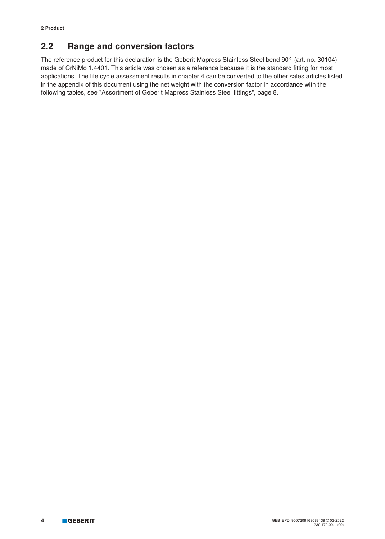## **2.2 Range and conversion factors**

The reference product for this declaration is the Geberit Mapress Stainless Steel bend 90° (art. no. 30104) made of CrNiMo 1.4401. This article was chosen as a reference because it is the standard fitting for most applications. The life cycle assessment results in chapter 4 can be converted to the other sales articles listed in the appendix of this document using the net weight with the conversion factor in accordance with the following tables, see "Assortment of Geberit Mapress Stainless Steel fittings", page 8.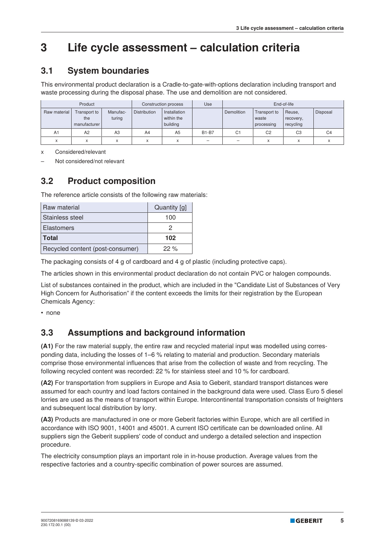# **3 Life cycle assessment – calculation criteria**

## **3.1 System boundaries**

This environmental product declaration is a Cradle-to-gate-with-options declaration including transport and waste processing during the disposal phase. The use and demolition are not considered.

|                | Product                             |                    |                     | Construction process                   | Use          | End-of-life    |                                     |                                  |                |
|----------------|-------------------------------------|--------------------|---------------------|----------------------------------------|--------------|----------------|-------------------------------------|----------------------------------|----------------|
| Raw material   | Transport to<br>the<br>manufacturer | Manufac-<br>turing | <b>Distribution</b> | Installation<br>within the<br>building |              | Demolition     | Transport to<br>waste<br>processing | Reuse,<br>recovery,<br>recycling | Disposal       |
| A <sub>1</sub> | A2                                  | A3                 | A4                  | A <sub>5</sub>                         | <b>B1-B7</b> | C <sub>1</sub> | C <sub>2</sub>                      | C <sub>3</sub>                   | C <sub>4</sub> |
| $\checkmark$   | $\checkmark$<br>A                   | $\checkmark$       | X                   | X                                      | -            | -              | X                                   | $\checkmark$                     |                |

x Considered/relevant

– Not considered/not relevant

## **3.2 Product composition**

The reference article consists of the following raw materials:

| <b>Raw material</b>              | Quantity [g] |
|----------------------------------|--------------|
| Stainless steel                  | 100          |
| <b>Elastomers</b>                |              |
| <b>Total</b>                     | 102          |
| Recycled content (post-consumer) | 22%          |

The packaging consists of 4 g of cardboard and 4 g of plastic (including protective caps).

The articles shown in this environmental product declaration do not contain PVC or halogen compounds.

List of substances contained in the product, which are included in the "Candidate List of Substances of Very High Concern for Authorisation" if the content exceeds the limits for their registration by the European Chemicals Agency:

• none

## **3.3 Assumptions and background information**

**(A1)** For the raw material supply, the entire raw and recycled material input was modelled using corresponding data, including the losses of 1–6 % relating to material and production. Secondary materials comprise those environmental influences that arise from the collection of waste and from recycling. The following recycled content was recorded: 22 % for stainless steel and 10 % for cardboard.

**(A2)** For transportation from suppliers in Europe and Asia to Geberit, standard transport distances were assumed for each country and load factors contained in the background data were used. Class Euro 5 diesel lorries are used as the means of transport within Europe. Intercontinental transportation consists of freighters and subsequent local distribution by lorry.

**(A3)** Products are manufactured in one or more Geberit factories within Europe, which are all certified in accordance with ISO 9001, 14001 and 45001. A current ISO certificate can be downloaded online. All suppliers sign the Geberit suppliers' code of conduct and undergo a detailed selection and inspection procedure.

The electricity consumption plays an important role in in-house production. Average values from the respective factories and a country-specific combination of power sources are assumed.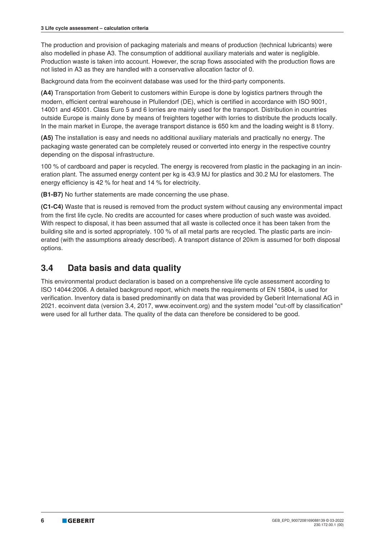The production and provision of packaging materials and means of production (technical lubricants) were also modelled in phase A3. The consumption of additional auxiliary materials and water is negligible. Production waste is taken into account. However, the scrap flows associated with the production flows are not listed in A3 as they are handled with a conservative allocation factor of 0.

Background data from the ecoinvent database was used for the third-party components.

**(A4)** Transportation from Geberit to customers within Europe is done by logistics partners through the modern, efficient central warehouse in Pfullendorf (DE), which is certified in accordance with ISO 9001, 14001 and 45001. Class Euro 5 and 6 lorries are mainly used for the transport. Distribution in countries outside Europe is mainly done by means of freighters together with lorries to distribute the products locally. In the main market in Europe, the average transport distance is 650 km and the loading weight is 8 t/lorry.

**(A5)** The installation is easy and needs no additional auxiliary materials and practically no energy. The packaging waste generated can be completely reused or converted into energy in the respective country depending on the disposal infrastructure.

100 % of cardboard and paper is recycled. The energy is recovered from plastic in the packaging in an incineration plant. The assumed energy content per kg is 43.9 MJ for plastics and 30.2 MJ for elastomers. The energy efficiency is 42 % for heat and 14 % for electricity.

**(B1-B7)** No further statements are made concerning the use phase.

**(C1-C4)** Waste that is reused is removed from the product system without causing any environmental impact from the first life cycle. No credits are accounted for cases where production of such waste was avoided. With respect to disposal, it has been assumed that all waste is collected once it has been taken from the building site and is sorted appropriately. 100 % of all metal parts are recycled. The plastic parts are incinerated (with the assumptions already described). A transport distance of 20 km is assumed for both disposal options.

## **3.4 Data basis and data quality**

This environmental product declaration is based on a comprehensive life cycle assessment according to ISO 14044:2006. A detailed background report, which meets the requirements of EN 15804, is used for verification. Inventory data is based predominantly on data that was provided by Geberit International AG in 2021. ecoinvent data (version 3.4, 2017, www.ecoinvent.org) and the system model "cut-off by classification" were used for all further data. The quality of the data can therefore be considered to be good.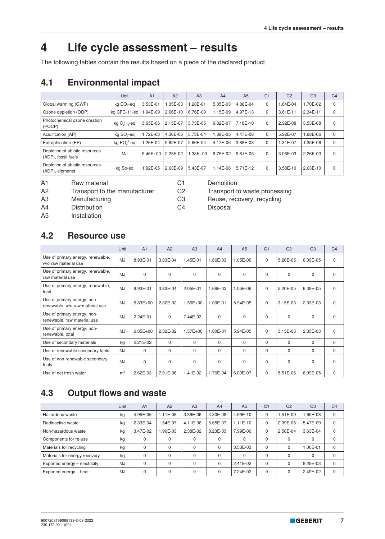## **4 Life cycle assessment – results**

The following tables contain the results based on a piece of the declared product.

## **4.1 Environmental impact**

|                                                       | Unit                   | A <sub>1</sub> | A2       | A3           | A4         | A <sub>5</sub> | C <sub>1</sub> | C <sub>2</sub> | C <sub>3</sub> | C <sub>4</sub> |
|-------------------------------------------------------|------------------------|----------------|----------|--------------|------------|----------------|----------------|----------------|----------------|----------------|
| Global warming (GWP)                                  | kg CO <sub>2</sub> -eg | 3.53E-01       | 1.35E-03 | .28E-01      | 5.85E-03   | 4.86E-04       | 0              | 1.84E-04       | 1.70E-02       | $\mathbf 0$    |
| Ozone depletion (ODP)                                 | ka CFC-11-ea           | 04E-09         | 2.66E-10 | 6.76E-09     | 1.15E-09   | 4.97E-13       | $\Omega$       | $3.61E - 11$   | 2.34E-11       | $\Omega$       |
| Photochemical ozone creation<br>(POCP)                | kg $C_2H_4$ -eq        | 3.65E-06       | 2.15E-07 | 3.73E-05     | 9.32E-07   | 7.18E-10       | $\Omega$       | 2.92E-08       | 3.53E-08       | $\Omega$       |
| Acidification (AP)                                    | kg SO <sub>2</sub> -eq | 1.72E-03       | 4.36E-06 | 5.73E-04     | 1.89E-05   | 4.47E-08       | $\mathbf 0$    | 5.92E-07       | 1.68E-06       | 0              |
| Eutrophication (EP)                                   | kg $PO43$ -eq          | $.26E-04$      | 9.62E-07 | 2.66E-04     | 4.17E-06   | 3.88E-08       | $\Omega$       | 1.31E-07       | 1.35E-06       | $\mathbf 0$    |
| Depletion of abiotic resources<br>(ADP), fossil fuels | <b>MJ</b>              | $5.46E + 00$   | 2.25E-02 | $1.38E + 00$ | 9.75E-02   | 5.81E-05       | $\Omega$       | 3.06E-03       | 2.26E-03       | $\Omega$       |
| Depletion of abiotic resources<br>(ADP), elements     | kg Sb-eg               | $.92E - 05$    | 2.63E-09 | 5.43E-07     | $1.14E-08$ | 5.71E-12       | $\Omega$       | 3.58E-10       | 2.63E-10       | $\Omega$       |

A1 Raw material C1 Demolition

A2 Transport to the manufacturer C2 Transport to waste processing

A3 Manufacturing C3 Reuse, recovery, recycling

A4 Distribution C4 Disposal

A5 Installation

## **4.2 Resource use**

|                                                                | Unit           | A <sub>1</sub> | A2       | A3           | A <sub>4</sub> | A <sub>5</sub> | C <sub>1</sub> | C <sub>2</sub> | C <sub>3</sub> | C <sub>4</sub> |
|----------------------------------------------------------------|----------------|----------------|----------|--------------|----------------|----------------|----------------|----------------|----------------|----------------|
| Use of primary energy, renewable,<br>w/o raw material use      | MJ             | 8.93E-01       | 3.83E-04 | 1.45E-01     | 1.66E-03       | 1.05E-06       | $\mathbf 0$    | 5.20E-05       | 6.39E-05       | $\mathbf 0$    |
| Use of primary energy, renewable,<br>raw material use          | MJ             | $\Omega$       | $\Omega$ | $\Omega$     | $\Omega$       | $\Omega$       | $\Omega$       | $\Omega$       | $\Omega$       | $\Omega$       |
| Use of primary energy, renewable,<br>total                     | MJ             | 8.93E-01       | 3.83E-04 | 2.05E-01     | 1.66E-03       | 1.05E-06       | $\Omega$       | 5.20E-05       | 6.39E-05       | $\Omega$       |
| Use of primary energy, non-<br>renewable, w/o raw material use | MJ             | $5.83E+00$     | 2.32E-02 | 1.56E+00     | 1.00E-01       | 5.94E-05       | $\Omega$       | 3.15E-03       | 2.33E-03       | $\Omega$       |
| Use of primary energy, non-<br>renewable, raw material use     | MJ             | 2.24E-01       | $\Omega$ | 7.44E-03     | $\Omega$       | $\Omega$       | $\Omega$       | $\Omega$       | $\Omega$       | $\Omega$       |
| Use of primary energy, non-<br>renewable, total                | <b>MJ</b>      | $6.05E + 00$   | 2.32E-02 | $1.57E + 00$ | 1.00E-01       | 5.94E-05       | $\Omega$       | 3.15E-03       | 2.33E-03       | $\Omega$       |
| Use of secondary materials                                     | kg             | 2.21E-02       | $\Omega$ | $\Omega$     | 0              | 0              | $\Omega$       | $\Omega$       | $\Omega$       | $\mathbf 0$    |
| Use of renewable secondary fuels                               | MJ             | $\Omega$       | $\Omega$ | $\Omega$     | $\Omega$       | $\Omega$       | $\Omega$       | $\Omega$       | $\Omega$       | $\Omega$       |
| Use of non-renewable secondary<br>fuels                        | MJ             | $\Omega$       | $\Omega$ | $\Omega$     | $\Omega$       | 0              | $\Omega$       | $\Omega$       | $\Omega$       | $\Omega$       |
| Use of net fresh water                                         | m <sup>3</sup> | 2.62E-03       | 7.91E-06 | 1.41E-02     | 1.76E-04       | 6.00E-07       | $\mathbf 0$    | 5.51E-06       | 6.09E-05       | $\mathbf{0}$   |

## **4.3 Output flows and waste**

|                               | Unit      | A <sub>1</sub> | A2       | A3       | A <sub>4</sub> | A <sub>5</sub> | C <sub>1</sub> | C <sub>2</sub> | C <sub>3</sub> | C <sub>4</sub> |
|-------------------------------|-----------|----------------|----------|----------|----------------|----------------|----------------|----------------|----------------|----------------|
| Hazardous waste               | kg        | 4.95E-06       | 1.11E-08 | 3.39E-06 | 4.80E-08       | 4.99E-10       | 0              | 1.51E-09       | 1.65E-08       | 0              |
| Radioactive waste             | kg        | 2.33E-04       | 1.54E-07 | 4.11E-06 | 6.65E-07       | $1.11E-10$     | 0              | 2.09E-08       | 5.47E-09       | $\Omega$       |
| Non-hazardous waste           | kg        | 3.47E-02       | 1.90E-03 | 2.38E-02 | 8.23E-03       | 7.99E-06       | $\Omega$       | 2.58E-04       | 3.63E-04       | $\Omega$       |
| Components for re-use         | kg        | $\Omega$       | $\Omega$ | 0        | 0              | $\Omega$       | $\Omega$       | $\Omega$       | 0              |                |
| Materials for recycling       | kg        | $\Omega$       | $\Omega$ | $\Omega$ | 0              | 3.53E-03       | $\Omega$       | 0              | 1.00E-01       | $\Omega$       |
| Materials for energy recovery | kg        | $\Omega$       | $\Omega$ | $\Omega$ | 0              | $\Omega$       | $\Omega$       | $\Omega$       | 0              |                |
| Exported energy - electricity | <b>MJ</b> | $\Omega$       | $\Omega$ |          | 0              | 2.41E-02       | $\Omega$       |                | 8.29E-03       | $\Omega$       |
| Exported energy - heat        | <b>MJ</b> | $\Omega$       | $\Omega$ |          | 0              | 7.24E-02       | $\Omega$       |                | 2.49E-02       | $\Omega$       |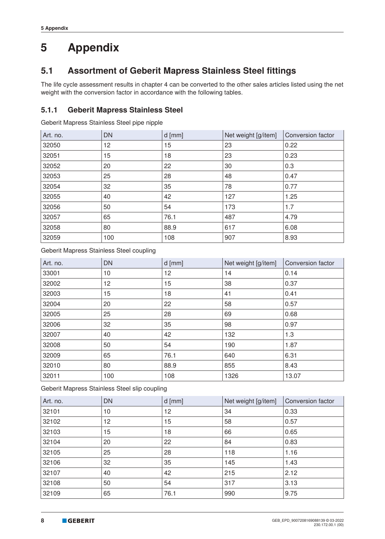## **5.1 Assortment of Geberit Mapress Stainless Steel fittings**

The life cycle assessment results in chapter 4 can be converted to the other sales articles listed using the net weight with the conversion factor in accordance with the following tables.

#### **5.1.1 Geberit Mapress Stainless Steel**

Geberit Mapress Stainless Steel pipe nipple

| Art. no. | <b>DN</b> | $d$ [mm] | Net weight [g/item] | Conversion factor |
|----------|-----------|----------|---------------------|-------------------|
| 32050    | 12        | 15       | 23                  | 0.22              |
| 32051    | 15        | 18       | 23                  | 0.23              |
| 32052    | 20        | 22       | 30                  | 0.3               |
| 32053    | 25        | 28       | 48                  | 0.47              |
| 32054    | 32        | 35       | 78                  | 0.77              |
| 32055    | 40        | 42       | 127                 | 1.25              |
| 32056    | 50        | 54       | 173                 | 1.7               |
| 32057    | 65        | 76.1     | 487                 | 4.79              |
| 32058    | 80        | 88.9     | 617                 | 6.08              |
| 32059    | 100       | 108      | 907                 | 8.93              |

Geberit Mapress Stainless Steel coupling

| Art. no. | <b>DN</b> | $d$ [mm] | Net weight [g/item] | Conversion factor |
|----------|-----------|----------|---------------------|-------------------|
| 33001    | 10        | 12       | 14                  | 0.14              |
| 32002    | 12        | 15       | 38                  | 0.37              |
| 32003    | 15        | 18       | 41                  | 0.41              |
| 32004    | 20        | 22       | 58                  | 0.57              |
| 32005    | 25        | 28       | 69                  | 0.68              |
| 32006    | 32        | 35       | 98                  | 0.97              |
| 32007    | 40        | 42       | 132                 | 1.3               |
| 32008    | 50        | 54       | 190                 | 1.87              |
| 32009    | 65        | 76.1     | 640                 | 6.31              |
| 32010    | 80        | 88.9     | 855                 | 8.43              |
| 32011    | 100       | 108      | 1326                | 13.07             |

Geberit Mapress Stainless Steel slip coupling

| Art. no. | <b>DN</b> | $d$ [mm] | Net weight [g/item] | Conversion factor |
|----------|-----------|----------|---------------------|-------------------|
| 32101    | 10        | 12       | 34                  | 0.33              |
| 32102    | 12        | 15       | 58                  | 0.57              |
| 32103    | 15        | 18       | 66                  | 0.65              |
| 32104    | 20        | 22       | 84                  | 0.83              |
| 32105    | 25        | 28       | 118                 | 1.16              |
| 32106    | 32        | 35       | 145                 | 1.43              |
| 32107    | 40        | 42       | 215                 | 2.12              |
| 32108    | 50        | 54       | 317                 | 3.13              |
| 32109    | 65        | 76.1     | 990                 | 9.75              |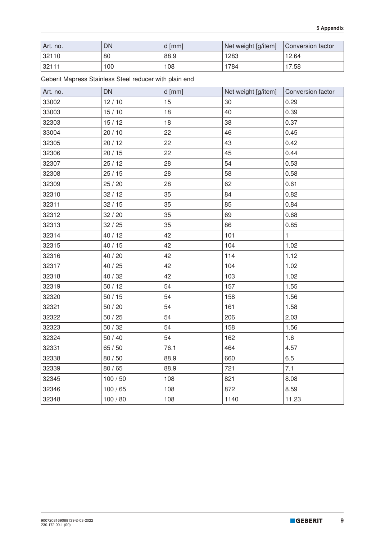| Art. no. | DN  | d [mm] | Net weight [g/item] | Conversion factor |
|----------|-----|--------|---------------------|-------------------|
| 32110    | 80  | 88.9   | 1283                | 12.64             |
| 32111    | 100 | 108    | 784                 | 7.58              |

Geberit Mapress Stainless Steel reducer with plain end

| Art. no. | <b>DN</b> | d [mm] | Net weight [g/item] | Conversion factor |
|----------|-----------|--------|---------------------|-------------------|
| 33002    | 12/10     | 15     | 30                  | 0.29              |
| 33003    | 15/10     | 18     | 40                  | 0.39              |
| 32303    | 15/12     | 18     | 38                  | 0.37              |
| 33004    | 20/10     | 22     | 46                  | 0.45              |
| 32305    | 20/12     | 22     | 43                  | 0.42              |
| 32306    | 20/15     | 22     | 45                  | 0.44              |
| 32307    | 25/12     | 28     | 54                  | 0.53              |
| 32308    | 25/15     | 28     | 58                  | 0.58              |
| 32309    | 25 / 20   | 28     | 62                  | 0.61              |
| 32310    | 32/12     | 35     | 84                  | 0.82              |
| 32311    | 32/15     | 35     | 85                  | 0.84              |
| 32312    | 32/20     | 35     | 69                  | 0.68              |
| 32313    | 32/25     | 35     | 86                  | 0.85              |
| 32314    | 40 / 12   | 42     | 101                 | 1                 |
| 32315    | 40/15     | 42     | 104                 | 1.02              |
| 32316    | 40 / 20   | 42     | 114                 | 1.12              |
| 32317    | 40 / 25   | 42     | 104                 | 1.02              |
| 32318    | 40 / 32   | 42     | 103                 | 1.02              |
| 32319    | 50/12     | 54     | 157                 | 1.55              |
| 32320    | $50/15$   | 54     | 158                 | 1.56              |
| 32321    | 50/20     | 54     | 161                 | 1.58              |
| 32322    | $50/25$   | 54     | 206                 | 2.03              |
| 32323    | 50/32     | 54     | 158                 | 1.56              |
| 32324    | $50/40$   | 54     | 162                 | 1.6               |
| 32331    | 65/50     | 76.1   | 464                 | 4.57              |
| 32338    | 80 / 50   | 88.9   | 660                 | 6.5               |
| 32339    | 80 / 65   | 88.9   | 721                 | 7.1               |
| 32345    | 100/50    | 108    | 821                 | 8.08              |
| 32346    | 100/65    | 108    | 872                 | 8.59              |
| 32348    | 100 / 80  | 108    | 1140                | 11.23             |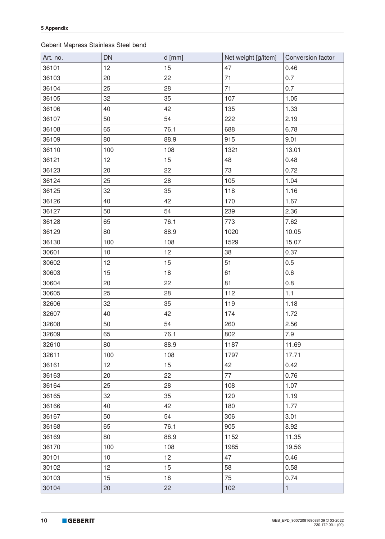#### Geberit Mapress Stainless Steel bend

| Art. no. | <b>DN</b> | $d$ [mm] | Net weight [g/item] | Conversion factor |
|----------|-----------|----------|---------------------|-------------------|
| 36101    | 12        | 15       | 47                  | 0.46              |
| 36103    | 20        | 22       | 71                  | 0.7               |
| 36104    | 25        | 28       | 71                  | 0.7               |
| 36105    | 32        | 35       | 107                 | 1.05              |
| 36106    | 40        | 42       | 135                 | 1.33              |
| 36107    | 50        | 54       | 222                 | 2.19              |
| 36108    | 65        | 76.1     | 688                 | 6.78              |
| 36109    | 80        | 88.9     | 915                 | 9.01              |
| 36110    | 100       | 108      | 1321                | 13.01             |
| 36121    | 12        | 15       | 48                  | 0.48              |
| 36123    | 20        | 22       | 73                  | 0.72              |
| 36124    | 25        | 28       | 105                 | 1.04              |
| 36125    | 32        | 35       | 118                 | 1.16              |
| 36126    | 40        | 42       | 170                 | 1.67              |
| 36127    | 50        | 54       | 239                 | 2.36              |
| 36128    | 65        | 76.1     | 773                 | 7.62              |
| 36129    | 80        | 88.9     | 1020                | 10.05             |
| 36130    | 100       | 108      | 1529                | 15.07             |
| 30601    | 10        | 12       | 38                  | 0.37              |
| 30602    | 12        | 15       | 51                  | 0.5               |
| 30603    | 15        | 18       | 61                  | 0.6               |
| 30604    | 20        | 22       | 81                  | 0.8               |
| 30605    | 25        | 28       | 112                 | 1.1               |
| 32606    | 32        | 35       | 119                 | 1.18              |
| 32607    | 40        | 42       | 174                 | 1.72              |
| 32608    | 50        | 54       | 260                 | 2.56              |
| 32609    | 65        | 76.1     | 802                 | $7.9$             |
| 32610    | 80        | 88.9     | 1187                | 11.69             |
| 32611    | 100       | 108      | 1797                | 17.71             |
| 36161    | 12        | 15       | 42                  | 0.42              |
| 36163    | 20        | 22       | 77                  | 0.76              |
| 36164    | 25        | 28       | 108                 | 1.07              |
| 36165    | 32        | 35       | 120                 | 1.19              |
| 36166    | 40        | 42       | 180                 | 1.77              |
| 36167    | 50        | 54       | 306                 | 3.01              |
| 36168    | 65        | 76.1     | 905                 | 8.92              |
| 36169    | 80        | 88.9     | 1152                | 11.35             |
| 36170    | 100       | 108      | 1985                | 19.56             |
| 30101    | 10        | 12       | 47                  | 0.46              |
| 30102    | 12        | 15       | 58                  | 0.58              |
| 30103    | 15        | 18       | 75                  | 0.74              |
| 30104    | 20        | 22       | 102                 | $\mathbf{1}$      |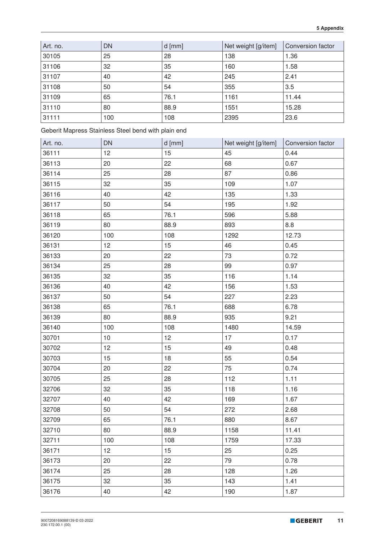| Art. no. | DN  | $d$ [mm] | Net weight [g/item] | Conversion factor |
|----------|-----|----------|---------------------|-------------------|
| 30105    | 25  | 28       | 138                 | 1.36              |
| 31106    | 32  | 35       | 160                 | 1.58              |
| 31107    | 40  | 42       | 245                 | 2.41              |
| 31108    | 50  | 54       | 355                 | 3.5               |
| 31109    | 65  | 76.1     | 1161                | 11.44             |
| 31110    | 80  | 88.9     | 1551                | 15.28             |
| 31111    | 100 | 108      | 2395                | 23.6              |

Geberit Mapress Stainless Steel bend with plain end

| Art. no. | <b>DN</b> | d [mm] | Net weight [g/item] | Conversion factor |
|----------|-----------|--------|---------------------|-------------------|
| 36111    | 12        | 15     | 45                  | 0.44              |
| 36113    | 20        | 22     | 68                  | 0.67              |
| 36114    | 25        | 28     | 87                  | 0.86              |
| 36115    | 32        | 35     | 109                 | 1.07              |
| 36116    | 40        | 42     | 135                 | 1.33              |
| 36117    | 50        | 54     | 195                 | 1.92              |
| 36118    | 65        | 76.1   | 596                 | 5.88              |
| 36119    | 80        | 88.9   | 893                 | 8.8               |
| 36120    | 100       | 108    | 1292                | 12.73             |
| 36131    | 12        | 15     | 46                  | 0.45              |
| 36133    | 20        | 22     | 73                  | 0.72              |
| 36134    | 25        | 28     | 99                  | 0.97              |
| 36135    | 32        | 35     | 116                 | 1.14              |
| 36136    | 40        | 42     | 156                 | 1.53              |
| 36137    | 50        | 54     | 227                 | 2.23              |
| 36138    | 65        | 76.1   | 688                 | 6.78              |
| 36139    | 80        | 88.9   | 935                 | 9.21              |
| 36140    | 100       | 108    | 1480                | 14.59             |
| 30701    | 10        | 12     | 17                  | 0.17              |
| 30702    | 12        | 15     | 49                  | 0.48              |
| 30703    | 15        | 18     | 55                  | 0.54              |
| 30704    | 20        | 22     | 75                  | 0.74              |
| 30705    | 25        | 28     | 112                 | 1.11              |
| 32706    | 32        | 35     | 118                 | 1.16              |
| 32707    | 40        | 42     | 169                 | 1.67              |
| 32708    | 50        | 54     | 272                 | 2.68              |
| 32709    | 65        | 76.1   | 880                 | 8.67              |
| 32710    | 80        | 88.9   | 1158                | 11.41             |
| 32711    | 100       | 108    | 1759                | 17.33             |
| 36171    | 12        | 15     | 25                  | 0.25              |
| 36173    | 20        | 22     | 79                  | 0.78              |
| 36174    | 25        | 28     | 128                 | 1.26              |
| 36175    | 32        | 35     | 143                 | 1.41              |
| 36176    | 40        | 42     | 190                 | 1.87              |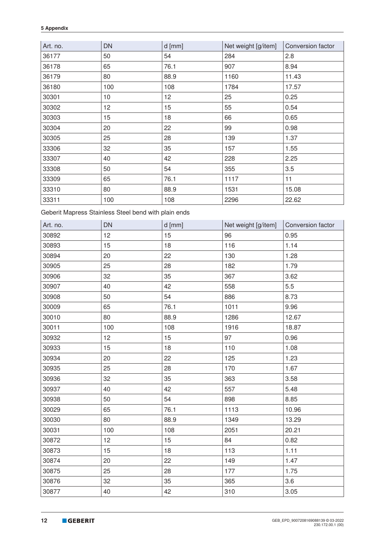| Art. no. | <b>DN</b> | $d$ [mm] | Net weight [g/item] | Conversion factor |
|----------|-----------|----------|---------------------|-------------------|
| 36177    | 50        | 54       | 284                 | 2.8               |
| 36178    | 65        | 76.1     | 907                 | 8.94              |
| 36179    | 80        | 88.9     | 1160                | 11.43             |
| 36180    | 100       | 108      | 1784                | 17.57             |
| 30301    | 10        | 12       | 25                  | 0.25              |
| 30302    | 12        | 15       | 55                  | 0.54              |
| 30303    | 15        | 18       | 66                  | 0.65              |
| 30304    | 20        | 22       | 99                  | 0.98              |
| 30305    | 25        | 28       | 139                 | 1.37              |
| 33306    | 32        | 35       | 157                 | 1.55              |
| 33307    | 40        | 42       | 228                 | 2.25              |
| 33308    | 50        | 54       | 355                 | 3.5               |
| 33309    | 65        | 76.1     | 1117                | 11                |
| 33310    | 80        | 88.9     | 1531                | 15.08             |
| 33311    | 100       | 108      | 2296                | 22.62             |

Geberit Mapress Stainless Steel bend with plain ends

| Art. no. | <b>DN</b> | $d$ [mm] | Net weight [g/item] | Conversion factor |
|----------|-----------|----------|---------------------|-------------------|
| 30892    | 12        | 15       | 96                  | 0.95              |
| 30893    | 15        | 18       | 116                 | 1.14              |
| 30894    | 20        | 22       | 130                 | 1.28              |
| 30905    | 25        | 28       | 182                 | 1.79              |
| 30906    | 32        | 35       | 367                 | 3.62              |
| 30907    | 40        | 42       | 558                 | 5.5               |
| 30908    | 50        | 54       | 886                 | 8.73              |
| 30009    | 65        | 76.1     | 1011                | 9.96              |
| 30010    | 80        | 88.9     | 1286                | 12.67             |
| 30011    | 100       | 108      | 1916                | 18.87             |
| 30932    | 12        | 15       | 97                  | 0.96              |
| 30933    | 15        | 18       | 110                 | 1.08              |
| 30934    | 20        | 22       | 125                 | 1.23              |
| 30935    | 25        | 28       | 170                 | 1.67              |
| 30936    | 32        | 35       | 363                 | 3.58              |
| 30937    | 40        | 42       | 557                 | 5.48              |
| 30938    | 50        | 54       | 898                 | 8.85              |
| 30029    | 65        | 76.1     | 1113                | 10.96             |
| 30030    | 80        | 88.9     | 1349                | 13.29             |
| 30031    | 100       | 108      | 2051                | 20.21             |
| 30872    | 12        | 15       | 84                  | 0.82              |
| 30873    | 15        | 18       | 113                 | 1.11              |
| 30874    | 20        | 22       | 149                 | 1.47              |
| 30875    | 25        | 28       | 177                 | 1.75              |
| 30876    | 32        | 35       | 365                 | 3.6               |
| 30877    | 40        | 42       | 310                 | 3.05              |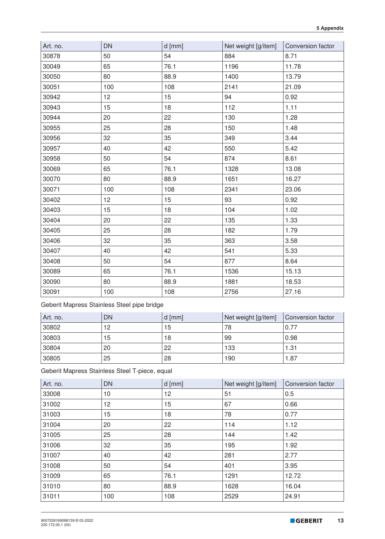| Art. no. | <b>DN</b> | $d$ [mm] | Net weight [g/item] | Conversion factor |
|----------|-----------|----------|---------------------|-------------------|
| 30878    | 50        | 54       | 884                 | 8.71              |
| 30049    | 65        | 76.1     | 1196                | 11.78             |
| 30050    | 80        | 88.9     | 1400                | 13.79             |
| 30051    | 100       | 108      | 2141                | 21.09             |
| 30942    | 12        | 15       | 94                  | 0.92              |
| 30943    | 15        | 18       | 112                 | 1.11              |
| 30944    | 20        | 22       | 130                 | 1.28              |
| 30955    | 25        | 28       | 150                 | 1.48              |
| 30956    | 32        | 35       | 349                 | 3.44              |
| 30957    | 40        | 42       | 550                 | 5.42              |
| 30958    | 50        | 54       | 874                 | 8.61              |
| 30069    | 65        | 76.1     | 1328                | 13.08             |
| 30070    | 80        | 88.9     | 1651                | 16.27             |
| 30071    | 100       | 108      | 2341                | 23.06             |
| 30402    | 12        | 15       | 93                  | 0.92              |
| 30403    | 15        | 18       | 104                 | 1.02              |
| 30404    | 20        | 22       | 135                 | 1.33              |
| 30405    | 25        | 28       | 182                 | 1.79              |
| 30406    | 32        | 35       | 363                 | 3.58              |
| 30407    | 40        | 42       | 541                 | 5.33              |
| 30408    | 50        | 54       | 877                 | 8.64              |
| 30089    | 65        | 76.1     | 1536                | 15.13             |
| 30090    | 80        | 88.9     | 1881                | 18.53             |
| 30091    | 100       | 108      | 2756                | 27.16             |

Geberit Mapress Stainless Steel pipe bridge

| Art. no. | DN | $d$ [mm] | Net weight [g/item] | Conversion factor |
|----------|----|----------|---------------------|-------------------|
| 30802    | 12 | 15       | 78                  | 0.77              |
| 30803    | 15 | 18       | 99                  | 0.98              |
| 30804    | 20 | 22       | 133                 | 1.31              |
| 30805    | 25 | 28       | 190                 | 1.87              |

Geberit Mapress Stainless Steel T-piece, equal

| Art. no. | <b>DN</b> | $d$ [mm] | Net weight [g/item] | Conversion factor |
|----------|-----------|----------|---------------------|-------------------|
| 33008    | 10        | 12       | 51                  | 0.5               |
| 31002    | 12        | 15       | 67                  | 0.66              |
| 31003    | 15        | 18       | 78                  | 0.77              |
| 31004    | 20        | 22       | 114                 | 1.12              |
| 31005    | 25        | 28       | 144                 | 1.42              |
| 31006    | 32        | 35       | 195                 | 1.92              |
| 31007    | 40        | 42       | 281                 | 2.77              |
| 31008    | 50        | 54       | 401                 | 3.95              |
| 31009    | 65        | 76.1     | 1291                | 12.72             |
| 31010    | 80        | 88.9     | 1628                | 16.04             |
| 31011    | 100       | 108      | 2529                | 24.91             |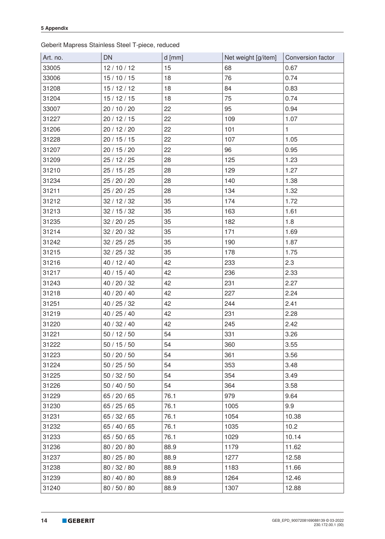Geberit Mapress Stainless Steel T-piece, reduced

| Art. no. | <b>DN</b>    | $d$ [mm] | Net weight [g/item] | Conversion factor |
|----------|--------------|----------|---------------------|-------------------|
| 33005    | 12/10/12     | 15       | 68                  | 0.67              |
| 33006    | 15/10/15     | 18       | 76                  | 0.74              |
| 31208    | 15/12/12     | 18       | 84                  | 0.83              |
| 31204    | 15/12/15     | 18       | 75                  | 0.74              |
| 33007    | 20 / 10 / 20 | 22       | 95                  | 0.94              |
| 31227    | 20/12/15     | 22       | 109                 | 1.07              |
| 31206    | 20 / 12 / 20 | 22       | 101                 | $\mathbf{1}$      |
| 31228    | 20/15/15     | 22       | 107                 | 1.05              |
| 31207    | 20 / 15 / 20 | 22       | 96                  | 0.95              |
| 31209    | 25/12/25     | 28       | 125                 | 1.23              |
| 31210    | 25/15/25     | 28       | 129                 | 1.27              |
| 31234    | 25 / 20 / 20 | 28       | 140                 | 1.38              |
| 31211    | 25 / 20 / 25 | 28       | 134                 | 1.32              |
| 31212    | 32/12/32     | 35       | 174                 | 1.72              |
| 31213    | 32/15/32     | 35       | 163                 | 1.61              |
| 31235    | 32/20/25     | 35       | 182                 | 1.8               |
| 31214    | 32 / 20 / 32 | 35       | 171                 | 1.69              |
| 31242    | 32/25/25     | 35       | 190                 | 1.87              |
| 31215    | 32/25/32     | 35       | 178                 | 1.75              |
| 31216    | 40 / 12 / 40 | 42       | 233                 | 2.3               |
| 31217    | 40 / 15 / 40 | 42       | 236                 | 2.33              |
| 31243    | 40 / 20 / 32 | 42       | 231                 | 2.27              |
| 31218    | 40 / 20 / 40 | 42       | 227                 | 2.24              |
| 31251    | 40 / 25 / 32 | 42       | 244                 | 2.41              |
| 31219    | 40 / 25 / 40 | 42       | 231                 | 2.28              |
| 31220    | 40 / 32 / 40 | 42       | 245                 | 2.42              |
| 31221    | 50/12/50     | 54       | 331                 | 3.26              |
| 31222    | 50/15/50     | 54       | 360                 | 3.55              |
| 31223    | 50/20/50     | 54       | 361                 | 3.56              |
| 31224    | 50/25/50     | 54       | 353                 | 3.48              |
| 31225    | 50/32/50     | 54       | 354                 | 3.49              |
| 31226    | 50/40/50     | 54       | 364                 | 3.58              |
| 31229    | 65 / 20 / 65 | 76.1     | 979                 | 9.64              |
| 31230    | 65/25/65     | 76.1     | 1005                | 9.9               |
| 31231    | 65 / 32 / 65 | 76.1     | 1054                | 10.38             |
| 31232    | 65 / 40 / 65 | 76.1     | 1035                | 10.2              |
| 31233    | 65 / 50 / 65 | 76.1     | 1029                | 10.14             |
| 31236    | 80 / 20 / 80 | 88.9     | 1179                | 11.62             |
| 31237    | 80 / 25 / 80 | 88.9     | 1277                | 12.58             |
| 31238    | 80 / 32 / 80 | 88.9     | 1183                | 11.66             |
| 31239    | 80 / 40 / 80 | 88.9     | 1264                | 12.46             |
| 31240    | 80 / 50 / 80 | 88.9     | 1307                | 12.88             |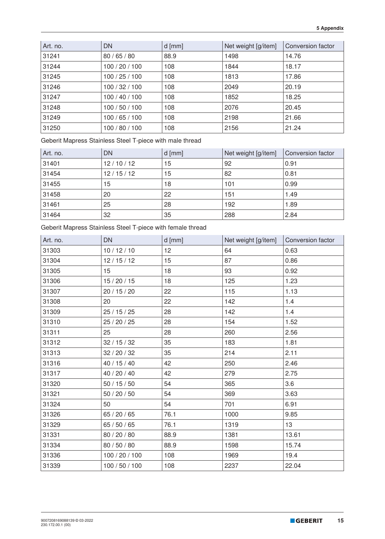| Art. no. | <b>DN</b>      | $d$ [mm] | Net weight [g/item] | Conversion factor |
|----------|----------------|----------|---------------------|-------------------|
| 31241    | 80/65/80       | 88.9     | 1498                | 14.76             |
| 31244    | 100 / 20 / 100 | 108      | 1844                | 18.17             |
| 31245    | 100/25/100     | 108      | 1813                | 17.86             |
| 31246    | 100/32/100     | 108      | 2049                | 20.19             |
| 31247    | 100/40/100     | 108      | 1852                | 18.25             |
| 31248    | 100/50/100     | 108      | 2076                | 20.45             |
| 31249    | 100/65/100     | 108      | 2198                | 21.66             |
| 31250    | 100 / 80 / 100 | 108      | 2156                | 21.24             |

Geberit Mapress Stainless Steel T-piece with male thread

| Art. no. | <b>DN</b> | $d$ [mm] | Net weight [g/item] | Conversion factor |
|----------|-----------|----------|---------------------|-------------------|
| 31401    | 12/10/12  | 15       | 92                  | 0.91              |
| 31454    | 12/15/12  | 15       | 82                  | 0.81              |
| 31455    | 15        | 18       | 101                 | 0.99              |
| 31458    | 20        | 22       | 151                 | 1.49              |
| 31461    | 25        | 28       | 192                 | 1.89              |
| 31464    | 32        | 35       | 288                 | 2.84              |

Geberit Mapress Stainless Steel T-piece with female thread

| Art. no. | <b>DN</b>      | $d$ [mm] | Net weight [g/item] | Conversion factor |
|----------|----------------|----------|---------------------|-------------------|
| 31303    | 10/12/10       | 12       | 64                  | 0.63              |
| 31304    | 12/15/12       | 15       | 87                  | 0.86              |
| 31305    | 15             | 18       | 93                  | 0.92              |
| 31306    | 15/20/15       | 18       | 125                 | 1.23              |
| 31307    | 20 / 15 / 20   | 22       | 115                 | 1.13              |
| 31308    | 20             | 22       | 142                 | 1.4               |
| 31309    | 25/15/25       | 28       | 142                 | 1.4               |
| 31310    | 25 / 20 / 25   | 28       | 154                 | 1.52              |
| 31311    | 25             | 28       | 260                 | 2.56              |
| 31312    | 32/15/32       | 35       | 183                 | 1.81              |
| 31313    | 32/20/32       | 35       | 214                 | 2.11              |
| 31316    | 40 / 15 / 40   | 42       | 250                 | 2.46              |
| 31317    | 40 / 20 / 40   | 42       | 279                 | 2.75              |
| 31320    | 50/15/50       | 54       | 365                 | 3.6               |
| 31321    | 50/20/50       | 54       | 369                 | 3.63              |
| 31324    | 50             | 54       | 701                 | 6.91              |
| 31326    | 65 / 20 / 65   | 76.1     | 1000                | 9.85              |
| 31329    | 65 / 50 / 65   | 76.1     | 1319                | 13                |
| 31331    | 80 / 20 / 80   | 88.9     | 1381                | 13.61             |
| 31334    | 80 / 50 / 80   | 88.9     | 1598                | 15.74             |
| 31336    | 100 / 20 / 100 | 108      | 1969                | 19.4              |
| 31339    | 100 / 50 / 100 | 108      | 2237                | 22.04             |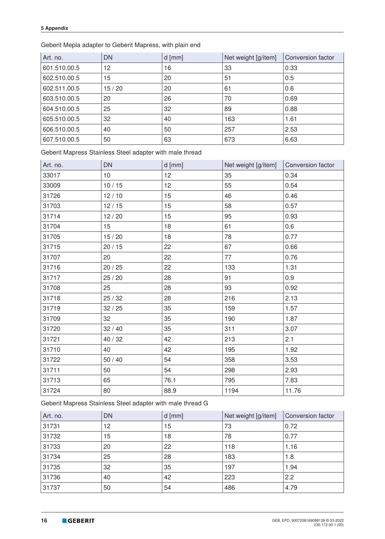Geberit Mepla adapter to Geberit Mapress, with plain end

| Art. no.     | <b>DN</b> | $d$ [mm] | Net weight [g/item] | Conversion factor |
|--------------|-----------|----------|---------------------|-------------------|
| 601.510.00.5 | 12        | 16       | 33                  | 0.33              |
| 602.510.00.5 | 15        | 20       | 51                  | 0.5               |
| 602.511.00.5 | 15/20     | 20       | 61                  | 0.6               |
| 603.510.00.5 | 20        | 26       | 70                  | 0.69              |
| 604.510.00.5 | 25        | 32       | 89                  | 0.88              |
| 605.510.00.5 | 32        | 40       | 163                 | 1.61              |
| 606.510.00.5 | 40        | 50       | 257                 | 2.53              |
| 607.510.00.5 | 50        | 63       | 673                 | 6.63              |

Geberit Mapress Stainless Steel adapter with male thread

| Art. no. | <b>DN</b> | $d$ [mm] | Net weight [g/item] | Conversion factor |
|----------|-----------|----------|---------------------|-------------------|
| 33017    | 10        | 12       | 35                  | 0.34              |
| 33009    | 10/15     | 12       | 55                  | 0.54              |
| 31726    | 12/10     | 15       | 46                  | 0.46              |
| 31703    | 12/15     | 15       | 58                  | 0.57              |
| 31714    | 12/20     | 15       | 95                  | 0.93              |
| 31704    | 15        | 18       | 61                  | 0.6               |
| 31705    | 15/20     | 18       | 78                  | 0.77              |
| 31715    | 20/15     | 22       | 67                  | 0.66              |
| 31707    | 20        | 22       | 77                  | 0.76              |
| 31716    | 20/25     | 22       | 133                 | 1.31              |
| 31717    | 25/20     | 28       | 91                  | 0.9               |
| 31708    | 25        | 28       | 93                  | 0.92              |
| 31718    | 25/32     | 28       | 216                 | 2.13              |
| 31719    | 32/25     | 35       | 159                 | 1.57              |
| 31709    | 32        | 35       | 190                 | 1.87              |
| 31720    | 32/40     | 35       | 311                 | 3.07              |
| 31721    | 40 / 32   | 42       | 213                 | 2.1               |
| 31710    | 40        | 42       | 195                 | 1.92              |
| 31722    | $50/40$   | 54       | 358                 | 3.53              |
| 31711    | 50        | 54       | 298                 | 2.93              |
| 31713    | 65        | 76.1     | 795                 | 7.83              |
| 31724    | 80        | 88.9     | 1194                | 11.76             |

Geberit Mapress Stainless Steel adapter with male thread G

| Art. no. | <b>DN</b> | $d$ [mm] | Net weight [g/item] | Conversion factor |
|----------|-----------|----------|---------------------|-------------------|
| 31731    | 12        | 15       | 73                  | 0.72              |
| 31732    | 15        | 18       | 78                  | 0.77              |
| 31733    | 20        | 22       | 118                 | 1.16              |
| 31734    | 25        | 28       | 183                 | 1.8               |
| 31735    | 32        | 35       | 197                 | 1.94              |
| 31736    | 40        | 42       | 223                 | 2.2               |
| 31737    | 50        | 54       | 486                 | 4.79              |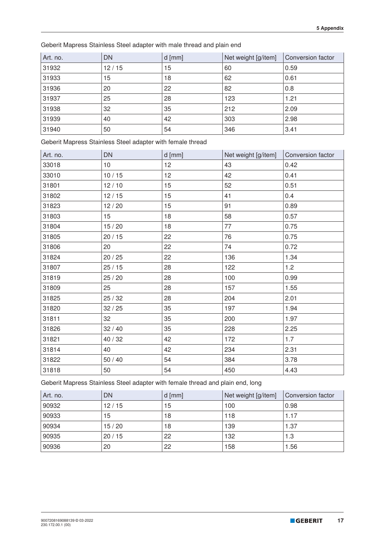Geberit Mapress Stainless Steel adapter with male thread and plain end

| Art. no. | <b>DN</b> | $d$ [mm] | Net weight [g/item] | Conversion factor |
|----------|-----------|----------|---------------------|-------------------|
| 31932    | 12/15     | 15       | 60                  | 0.59              |
| 31933    | 15        | 18       | 62                  | 0.61              |
| 31936    | 20        | 22       | 82                  | 0.8               |
| 31937    | 25        | 28       | 123                 | 1.21              |
| 31938    | 32        | 35       | 212                 | 2.09              |
| 31939    | 40        | 42       | 303                 | 2.98              |
| 31940    | 50        | 54       | 346                 | 3.41              |

Geberit Mapress Stainless Steel adapter with female thread

| Art. no. | <b>DN</b> | $d$ [mm] | Net weight [g/item] | Conversion factor |
|----------|-----------|----------|---------------------|-------------------|
| 33018    | 10        | 12       | 43                  | 0.42              |
| 33010    | 10/15     | 12       | 42                  | 0.41              |
| 31801    | 12/10     | 15       | 52                  | 0.51              |
| 31802    | 12/15     | 15       | 41                  | 0.4               |
| 31823    | 12/20     | 15       | 91                  | 0.89              |
| 31803    | 15        | 18       | 58                  | 0.57              |
| 31804    | 15/20     | 18       | 77                  | 0.75              |
| 31805    | 20/15     | 22       | 76                  | 0.75              |
| 31806    | 20        | 22       | 74                  | 0.72              |
| 31824    | 20/25     | 22       | 136                 | 1.34              |
| 31807    | 25/15     | 28       | 122                 | 1.2               |
| 31819    | 25/20     | 28       | 100                 | 0.99              |
| 31809    | 25        | 28       | 157                 | 1.55              |
| 31825    | 25/32     | 28       | 204                 | 2.01              |
| 31820    | 32/25     | 35       | 197                 | 1.94              |
| 31811    | 32        | 35       | 200                 | 1.97              |
| 31826    | 32/40     | 35       | 228                 | 2.25              |
| 31821    | 40 / 32   | 42       | 172                 | 1.7               |
| 31814    | 40        | 42       | 234                 | 2.31              |
| 31822    | $50/40$   | 54       | 384                 | 3.78              |
| 31818    | 50        | 54       | 450                 | 4.43              |

Geberit Mapress Stainless Steel adapter with female thread and plain end, long

| Art. no. | <b>DN</b> | $d$ [mm] | Net weight [g/item] | Conversion factor |
|----------|-----------|----------|---------------------|-------------------|
| 90932    | 12/15     | 15       | 100                 | 0.98              |
| 90933    | 15        | 18       | 118                 | 1.17              |
| 90934    | 15/20     | 18       | 139                 | 1.37              |
| 90935    | 20/15     | 22       | 132                 | 1.3               |
| 90936    | 20        | 22       | 158                 | 1.56              |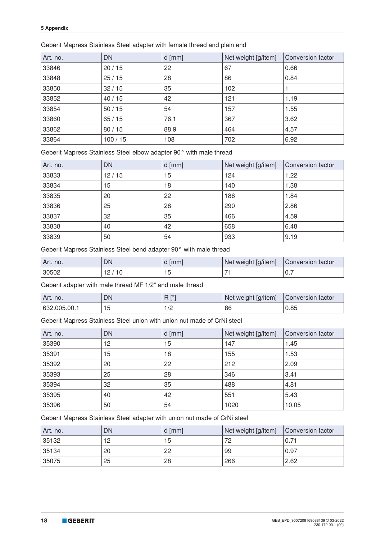| Art. no. | <b>DN</b> | $d$ [mm] | Net weight [g/item] | Conversion factor |
|----------|-----------|----------|---------------------|-------------------|
| 33846    | 20/15     | 22       | 67                  | 0.66              |
| 33848    | 25/15     | 28       | 86                  | 0.84              |
| 33850    | 32/15     | 35       | 102                 |                   |
| 33852    | 40/15     | 42       | 121                 | 1.19              |
| 33854    | 50/15     | 54       | 157                 | 1.55              |
| 33860    | 65/15     | 76.1     | 367                 | 3.62              |
| 33862    | 80/15     | 88.9     | 464                 | 4.57              |
| 33864    | 100/15    | 108      | 702                 | 6.92              |

Geberit Mapress Stainless Steel adapter with female thread and plain end

Geberit Mapress Stainless Steel elbow adapter 90° with male thread

| Art. no. | <b>DN</b> | $d$ [mm] | Net weight [g/item] | Conversion factor |
|----------|-----------|----------|---------------------|-------------------|
| 33833    | 12/15     | 15       | 124                 | 1.22              |
| 33834    | 15        | 18       | 140                 | 1.38              |
| 33835    | 20        | 22       | 186                 | 1.84              |
| 33836    | 25        | 28       | 290                 | 2.86              |
| 33837    | 32        | 35       | 466                 | 4.59              |
| 33838    | 40        | 42       | 658                 | 6.48              |
| 33839    | 50        | 54       | 933                 | 9.19              |

Geberit Mapress Stainless Steel bend adapter 90° with male thread

| Art. no. | DN  | mm | Net weight [g/item] | Conversion factor |
|----------|-----|----|---------------------|-------------------|
| 30502    | 1 U |    |                     | $U_{\rm t}$       |

Geberit adapter with male thread MF 1/2" and male thread

| Art. no.     | DN      | <b>FU</b> | Net weight [g/item] | Conversion factor |
|--------------|---------|-----------|---------------------|-------------------|
| 632.005.00.1 | h<br>יי | 17 L      | 86                  | 0.85              |

Geberit Mapress Stainless Steel union with union nut made of CrNi steel

| Art. no. | DN | $d$ [mm] | Net weight [g/item] | Conversion factor |
|----------|----|----------|---------------------|-------------------|
| 35390    | 12 | 15       | 147                 | 1.45              |
| 35391    | 15 | 18       | 155                 | 1.53              |
| 35392    | 20 | 22       | 212                 | 2.09              |
| 35393    | 25 | 28       | 346                 | 3.41              |
| 35394    | 32 | 35       | 488                 | 4.81              |
| 35395    | 40 | 42       | 551                 | 5.43              |
| 35396    | 50 | 54       | 1020                | 10.05             |

Geberit Mapress Stainless Steel adapter with union nut made of CrNi steel

| Art. no. | DN | d [mm] | Net weight [g/item] | Conversion factor |
|----------|----|--------|---------------------|-------------------|
| 135132   | 12 | 15     | 72                  | 0.71              |
| 135134   | 20 | 22     | 99                  | 0.97              |
| 35075    | 25 | 28     | 266                 | 2.62              |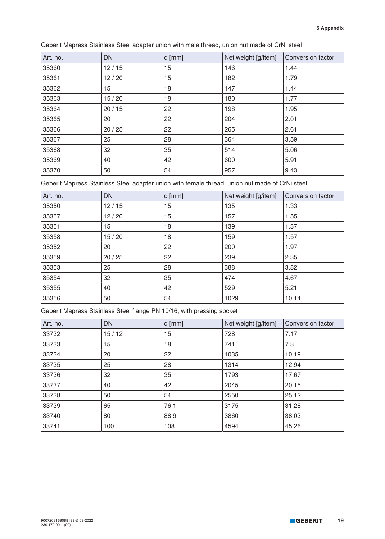| Art. no. | <b>DN</b> | $d$ [mm] | Net weight [g/item] | Conversion factor |
|----------|-----------|----------|---------------------|-------------------|
| 35360    | 12/15     | 15       | 146                 | 1.44              |
| 35361    | 12/20     | 15       | 182                 | 1.79              |
| 35362    | 15        | 18       | 147                 | 1.44              |
| 35363    | 15/20     | 18       | 180                 | 1.77              |
| 35364    | 20/15     | 22       | 198                 | 1.95              |
| 35365    | 20        | 22       | 204                 | 2.01              |
| 35366    | 20/25     | 22       | 265                 | 2.61              |
| 35367    | 25        | 28       | 364                 | 3.59              |
| 35368    | 32        | 35       | 514                 | 5.06              |
| 35369    | 40        | 42       | 600                 | 5.91              |
| 35370    | 50        | 54       | 957                 | 9.43              |

Geberit Mapress Stainless Steel adapter union with male thread, union nut made of CrNi steel

Geberit Mapress Stainless Steel adapter union with female thread, union nut made of CrNi steel

| Art. no. | <b>DN</b> | $d$ [mm] | Net weight [g/item] | Conversion factor |
|----------|-----------|----------|---------------------|-------------------|
| 35350    | 12/15     | 15       | 135                 | 1.33              |
| 35357    | 12/20     | 15       | 157                 | 1.55              |
| 35351    | 15        | 18       | 139                 | 1.37              |
| 35358    | 15/20     | 18       | 159                 | 1.57              |
| 35352    | 20        | 22       | 200                 | 1.97              |
| 35359    | 20/25     | 22       | 239                 | 2.35              |
| 35353    | 25        | 28       | 388                 | 3.82              |
| 35354    | 32        | 35       | 474                 | 4.67              |
| 35355    | 40        | 42       | 529                 | 5.21              |
| 35356    | 50        | 54       | 1029                | 10.14             |

Geberit Mapress Stainless Steel flange PN 10/16, with pressing socket

| Art. no. | <b>DN</b> | $d$ [mm] | Net weight [g/item] | Conversion factor |
|----------|-----------|----------|---------------------|-------------------|
| 33732    | 15/12     | 15       | 728                 | 7.17              |
| 33733    | 15        | 18       | 741                 | 7.3               |
| 33734    | 20        | 22       | 1035                | 10.19             |
| 33735    | 25        | 28       | 1314                | 12.94             |
| 33736    | 32        | 35       | 1793                | 17.67             |
| 33737    | 40        | 42       | 2045                | 20.15             |
| 33738    | 50        | 54       | 2550                | 25.12             |
| 33739    | 65        | 76.1     | 3175                | 31.28             |
| 33740    | 80        | 88.9     | 3860                | 38.03             |
| 33741    | 100       | 108      | 4594                | 45.26             |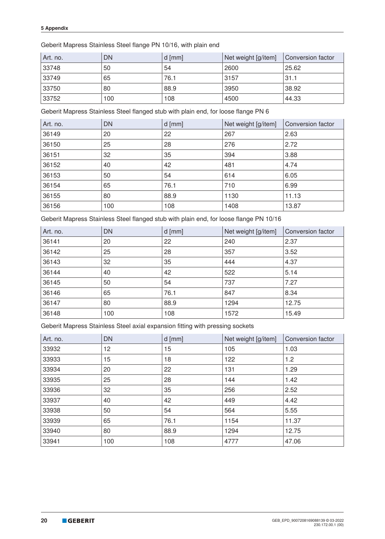#### Geberit Mapress Stainless Steel flange PN 10/16, with plain end

| Art. no. | <b>DN</b> | $d$ [mm] | Net weight [g/item] | Conversion factor |
|----------|-----------|----------|---------------------|-------------------|
| 33748    | 50        | 54       | 2600                | 25.62             |
| 33749    | 65        | 76.1     | 3157                | 31.1              |
| 33750    | 80        | 88.9     | 3950                | 38.92             |
| 33752    | 100       | 108      | 4500                | 44.33             |

Geberit Mapress Stainless Steel flanged stub with plain end, for loose flange PN 6

| Art. no. | <b>DN</b> | $d$ [mm] | Net weight [g/item] | Conversion factor |
|----------|-----------|----------|---------------------|-------------------|
| 36149    | 20        | 22       | 267                 | 2.63              |
| 36150    | 25        | 28       | 276                 | 2.72              |
| 36151    | 32        | 35       | 394                 | 3.88              |
| 36152    | 40        | 42       | 481                 | 4.74              |
| 36153    | 50        | 54       | 614                 | 6.05              |
| 36154    | 65        | 76.1     | 710                 | 6.99              |
| 36155    | 80        | 88.9     | 1130                | 11.13             |
| 36156    | 100       | 108      | 1408                | 13.87             |

Geberit Mapress Stainless Steel flanged stub with plain end, for loose flange PN 10/16

| Art. no. | <b>DN</b> | $d$ [mm] | Net weight [g/item] | Conversion factor |
|----------|-----------|----------|---------------------|-------------------|
| 36141    | 20        | 22       | 240                 | 2.37              |
| 36142    | 25        | 28       | 357                 | 3.52              |
| 36143    | 32        | 35       | 444                 | 4.37              |
| 36144    | 40        | 42       | 522                 | 5.14              |
| 36145    | 50        | 54       | 737                 | 7.27              |
| 36146    | 65        | 76.1     | 847                 | 8.34              |
| 36147    | 80        | 88.9     | 1294                | 12.75             |
| 36148    | 100       | 108      | 1572                | 15.49             |

Geberit Mapress Stainless Steel axial expansion fitting with pressing sockets

| Art. no. | <b>DN</b> | $d$ [mm] | Net weight [g/item] | Conversion factor |
|----------|-----------|----------|---------------------|-------------------|
| 33932    | 12        | 15       | 105                 | 1.03              |
| 33933    | 15        | 18       | 122                 | 1.2               |
| 33934    | 20        | 22       | 131                 | 1.29              |
| 33935    | 25        | 28       | 144                 | 1.42              |
| 33936    | 32        | 35       | 256                 | 2.52              |
| 33937    | 40        | 42       | 449                 | 4.42              |
| 33938    | 50        | 54       | 564                 | 5.55              |
| 33939    | 65        | 76.1     | 1154                | 11.37             |
| 33940    | 80        | 88.9     | 1294                | 12.75             |
| 33941    | 100       | 108      | 4777                | 47.06             |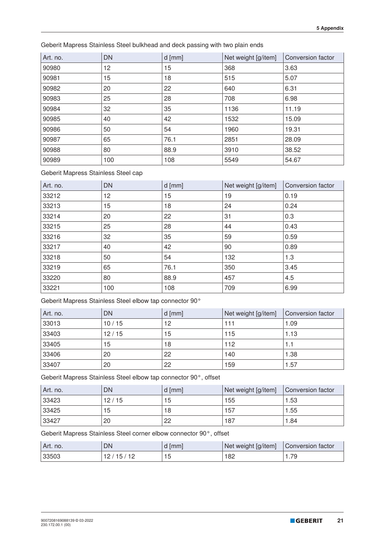Geberit Mapress Stainless Steel bulkhead and deck passing with two plain ends

| Art. no. | DN  | $d$ [mm] | Net weight [g/item] | Conversion factor |
|----------|-----|----------|---------------------|-------------------|
| 90980    | 12  | 15       | 368                 | 3.63              |
| 90981    | 15  | 18       | 515                 | 5.07              |
| 90982    | 20  | 22       | 640                 | 6.31              |
| 90983    | 25  | 28       | 708                 | 6.98              |
| 90984    | 32  | 35       | 1136                | 11.19             |
| 90985    | 40  | 42       | 1532                | 15.09             |
| 90986    | 50  | 54       | 1960                | 19.31             |
| 90987    | 65  | 76.1     | 2851                | 28.09             |
| 90988    | 80  | 88.9     | 3910                | 38.52             |
| 90989    | 100 | 108      | 5549                | 54.67             |

Geberit Mapress Stainless Steel cap

| Art. no. | <b>DN</b> | $d$ [mm] | Net weight [g/item] | Conversion factor |
|----------|-----------|----------|---------------------|-------------------|
| 33212    | 12        | 15       | 19                  | 0.19              |
| 33213    | 15        | 18       | 24                  | 0.24              |
| 33214    | 20        | 22       | 31                  | 0.3               |
| 33215    | 25        | 28       | 44                  | 0.43              |
| 33216    | 32        | 35       | 59                  | 0.59              |
| 33217    | 40        | 42       | 90                  | 0.89              |
| 33218    | 50        | 54       | 132                 | 1.3               |
| 33219    | 65        | 76.1     | 350                 | 3.45              |
| 33220    | 80        | 88.9     | 457                 | 4.5               |
| 33221    | 100       | 108      | 709                 | 6.99              |

Geberit Mapress Stainless Steel elbow tap connector 90°

| Art. no. | <b>DN</b> | $d$ [mm] | Net weight [g/item] | Conversion factor |
|----------|-----------|----------|---------------------|-------------------|
| 33013    | 10/15     | 12       | 111                 | 1.09              |
| 33403    | 12/15     | 15       | 115                 | 1.13              |
| 33405    | 15        | 18       | 112                 | 1.1               |
| 33406    | 20        | 22       | 140                 | 1.38              |
| 33407    | 20        | 22       | 159                 | 1.57              |

Geberit Mapress Stainless Steel elbow tap connector 90°, offset

| Art. no. | DN    | d [mm] | Net weight [g/item] | <b>Conversion factor</b> |
|----------|-------|--------|---------------------|--------------------------|
| 33423    | 12/15 | 15     | 155                 | 1.53                     |
| 33425    | 15    | 18     | 157                 | 1.55                     |
| 33427    | 20    | 22     | 187                 | 1.84                     |

Geberit Mapress Stainless Steel corner elbow connector 90°, offset

| Art. no. | DN     | <b>Imml</b><br>u         | Net weight [g/item] | Conversion factor |
|----------|--------|--------------------------|---------------------|-------------------|
| 33503    | ∽<br>ັ | $\overline{\phantom{a}}$ | 182                 | 70<br>. 0         |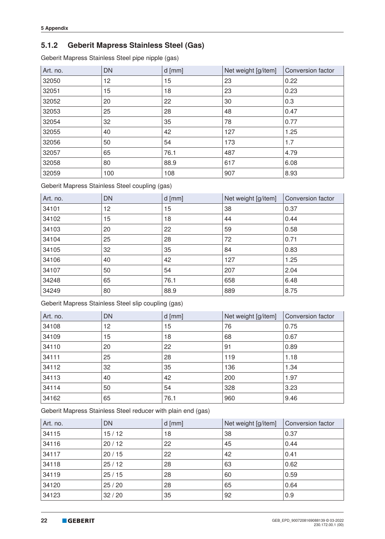## **5.1.2 Geberit Mapress Stainless Steel (Gas)**

Geberit Mapress Stainless Steel pipe nipple (gas)

| Art. no. | DN  | $d$ [mm] | Net weight [g/item] | Conversion factor |
|----------|-----|----------|---------------------|-------------------|
| 32050    | 12  | 15       | 23                  | 0.22              |
| 32051    | 15  | 18       | 23                  | 0.23              |
| 32052    | 20  | 22       | 30                  | 0.3               |
| 32053    | 25  | 28       | 48                  | 0.47              |
| 32054    | 32  | 35       | 78                  | 0.77              |
| 32055    | 40  | 42       | 127                 | 1.25              |
| 32056    | 50  | 54       | 173                 | 1.7               |
| 32057    | 65  | 76.1     | 487                 | 4.79              |
| 32058    | 80  | 88.9     | 617                 | 6.08              |
| 32059    | 100 | 108      | 907                 | 8.93              |

Geberit Mapress Stainless Steel coupling (gas)

| Art. no. | <b>DN</b> | $d$ [mm] | Net weight [g/item] | Conversion factor |
|----------|-----------|----------|---------------------|-------------------|
| 34101    | 12        | 15       | 38                  | 0.37              |
| 34102    | 15        | 18       | 44                  | 0.44              |
| 34103    | 20        | 22       | 59                  | 0.58              |
| 34104    | 25        | 28       | 72                  | 0.71              |
| 34105    | 32        | 35       | 84                  | 0.83              |
| 34106    | 40        | 42       | 127                 | 1.25              |
| 34107    | 50        | 54       | 207                 | 2.04              |
| 34248    | 65        | 76.1     | 658                 | 6.48              |
| 34249    | 80        | 88.9     | 889                 | 8.75              |

Geberit Mapress Stainless Steel slip coupling (gas)

| Art. no. | <b>DN</b> | $d$ [mm] | Net weight [g/item] | Conversion factor |
|----------|-----------|----------|---------------------|-------------------|
| 34108    | 12        | 15       | 76                  | 0.75              |
| 34109    | 15        | 18       | 68                  | 0.67              |
| 34110    | 20        | 22       | 91                  | 0.89              |
| 34111    | 25        | 28       | 119                 | 1.18              |
| 34112    | 32        | 35       | 136                 | 1.34              |
| 34113    | 40        | 42       | 200                 | 1.97              |
| 34114    | 50        | 54       | 328                 | 3.23              |
| 34162    | 65        | 76.1     | 960                 | 9.46              |

Geberit Mapress Stainless Steel reducer with plain end (gas)

| Art. no. | <b>DN</b> | $d$ [mm] | Net weight [g/item] | Conversion factor |
|----------|-----------|----------|---------------------|-------------------|
| 34115    | 15/12     | 18       | 38                  | 0.37              |
| 34116    | 20/12     | 22       | 45                  | 0.44              |
| 34117    | 20/15     | 22       | 42                  | 0.41              |
| 34118    | 25/12     | 28       | 63                  | 0.62              |
| 34119    | 25/15     | 28       | 60                  | 0.59              |
| 34120    | 25/20     | 28       | 65                  | 0.64              |
| 34123    | 32/20     | 35       | 92                  | 0.9               |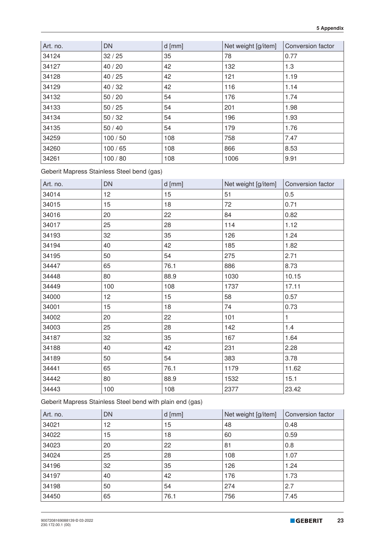| Art. no. | <b>DN</b> | $d$ [mm] | Net weight [g/item] | Conversion factor |
|----------|-----------|----------|---------------------|-------------------|
| 34124    | 32/25     | 35       | 78                  | 0.77              |
| 34127    | 40/20     | 42       | 132                 | 1.3               |
| 34128    | 40/25     | 42       | 121                 | 1.19              |
| 34129    | 40/32     | 42       | 116                 | 1.14              |
| 34132    | 50/20     | 54       | 176                 | 1.74              |
| 34133    | 50/25     | 54       | 201                 | 1.98              |
| 34134    | 50/32     | 54       | 196                 | 1.93              |
| 34135    | 50/40     | 54       | 179                 | 1.76              |
| 34259    | 100/50    | 108      | 758                 | 7.47              |
| 34260    | 100/65    | 108      | 866                 | 8.53              |
| 34261    | 100/80    | 108      | 1006                | 9.91              |

Geberit Mapress Stainless Steel bend (gas)

| Art. no. | <b>DN</b> | $d$ [mm] | Net weight [g/item] | Conversion factor |
|----------|-----------|----------|---------------------|-------------------|
| 34014    | 12        | 15       | 51                  | 0.5               |
| 34015    | 15        | 18       | 72                  | 0.71              |
| 34016    | 20        | 22       | 84                  | 0.82              |
| 34017    | 25        | 28       | 114                 | 1.12              |
| 34193    | 32        | 35       | 126                 | 1.24              |
| 34194    | 40        | 42       | 185                 | 1.82              |
| 34195    | 50        | 54       | 275                 | 2.71              |
| 34447    | 65        | 76.1     | 886                 | 8.73              |
| 34448    | 80        | 88.9     | 1030                | 10.15             |
| 34449    | 100       | 108      | 1737                | 17.11             |
| 34000    | 12        | 15       | 58                  | 0.57              |
| 34001    | 15        | 18       | 74                  | 0.73              |
| 34002    | 20        | 22       | 101                 | $\mathbf{1}$      |
| 34003    | 25        | 28       | 142                 | 1.4               |
| 34187    | 32        | 35       | 167                 | 1.64              |
| 34188    | 40        | 42       | 231                 | 2.28              |
| 34189    | 50        | 54       | 383                 | 3.78              |
| 34441    | 65        | 76.1     | 1179                | 11.62             |
| 34442    | 80        | 88.9     | 1532                | 15.1              |
| 34443    | 100       | 108      | 2377                | 23.42             |

Geberit Mapress Stainless Steel bend with plain end (gas)

| Art. no. | <b>DN</b> | $d$ [mm] | Net weight [g/item] | Conversion factor |
|----------|-----------|----------|---------------------|-------------------|
| 34021    | 12        | 15       | 48                  | 0.48              |
| 34022    | 15        | 18       | 60                  | 0.59              |
| 34023    | 20        | 22       | 81                  | 0.8               |
| 34024    | 25        | 28       | 108                 | 1.07              |
| 34196    | 32        | 35       | 126                 | 1.24              |
| 34197    | 40        | 42       | 176                 | 1.73              |
| 34198    | 50        | 54       | 274                 | 2.7               |
| 34450    | 65        | 76.1     | 756                 | 7.45              |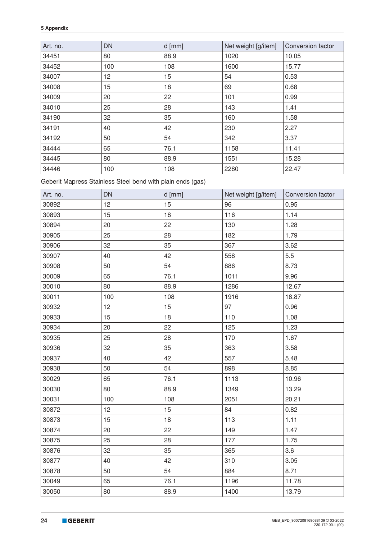| Art. no. | <b>DN</b> | $d$ [mm] | Net weight [g/item] | Conversion factor |
|----------|-----------|----------|---------------------|-------------------|
| 34451    | 80        | 88.9     | 1020                | 10.05             |
| 34452    | 100       | 108      | 1600                | 15.77             |
| 34007    | 12        | 15       | 54                  | 0.53              |
| 34008    | 15        | 18       | 69                  | 0.68              |
| 34009    | 20        | 22       | 101                 | 0.99              |
| 34010    | 25        | 28       | 143                 | 1.41              |
| 34190    | 32        | 35       | 160                 | 1.58              |
| 34191    | 40        | 42       | 230                 | 2.27              |
| 34192    | 50        | 54       | 342                 | 3.37              |
| 34444    | 65        | 76.1     | 1158                | 11.41             |
| 34445    | 80        | 88.9     | 1551                | 15.28             |
| 34446    | 100       | 108      | 2280                | 22.47             |

Geberit Mapress Stainless Steel bend with plain ends (gas)

| Art. no. | <b>DN</b> | d [mm] | Net weight [g/item] | Conversion factor |
|----------|-----------|--------|---------------------|-------------------|
| 30892    | 12        | 15     | 96                  | 0.95              |
| 30893    | 15        | 18     | 116                 | 1.14              |
| 30894    | 20        | 22     | 130                 | 1.28              |
| 30905    | 25        | 28     | 182                 | 1.79              |
| 30906    | 32        | 35     | 367                 | 3.62              |
| 30907    | 40        | 42     | 558                 | 5.5               |
| 30908    | 50        | 54     | 886                 | 8.73              |
| 30009    | 65        | 76.1   | 1011                | 9.96              |
| 30010    | 80        | 88.9   | 1286                | 12.67             |
| 30011    | 100       | 108    | 1916                | 18.87             |
| 30932    | 12        | 15     | 97                  | 0.96              |
| 30933    | 15        | 18     | 110                 | 1.08              |
| 30934    | 20        | 22     | 125                 | 1.23              |
| 30935    | 25        | 28     | 170                 | 1.67              |
| 30936    | 32        | 35     | 363                 | 3.58              |
| 30937    | 40        | 42     | 557                 | 5.48              |
| 30938    | 50        | 54     | 898                 | 8.85              |
| 30029    | 65        | 76.1   | 1113                | 10.96             |
| 30030    | 80        | 88.9   | 1349                | 13.29             |
| 30031    | 100       | 108    | 2051                | 20.21             |
| 30872    | 12        | 15     | 84                  | 0.82              |
| 30873    | 15        | 18     | 113                 | 1.11              |
| 30874    | 20        | 22     | 149                 | 1.47              |
| 30875    | 25        | 28     | 177                 | 1.75              |
| 30876    | 32        | 35     | 365                 | 3.6               |
| 30877    | 40        | 42     | 310                 | 3.05              |
| 30878    | 50        | 54     | 884                 | 8.71              |
| 30049    | 65        | 76.1   | 1196                | 11.78             |
| 30050    | 80        | 88.9   | 1400                | 13.79             |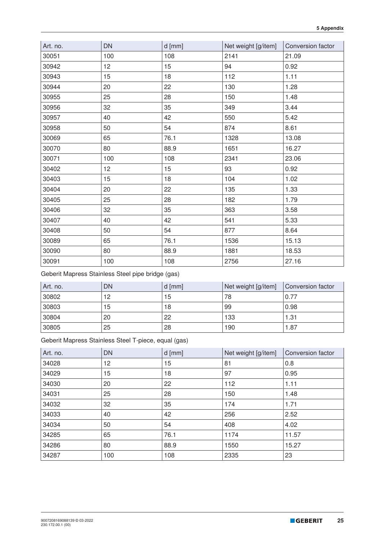| Art. no. | <b>DN</b> | $d$ [mm] | Net weight [g/item] | Conversion factor |
|----------|-----------|----------|---------------------|-------------------|
| 30051    | 100       | 108      | 2141                | 21.09             |
| 30942    | 12        | 15       | 94                  | 0.92              |
| 30943    | 15        | 18       | 112                 | 1.11              |
| 30944    | 20        | 22       | 130                 | 1.28              |
| 30955    | 25        | 28       | 150                 | 1.48              |
| 30956    | 32        | 35       | 349                 | 3.44              |
| 30957    | 40        | 42       | 550                 | 5.42              |
| 30958    | 50        | 54       | 874                 | 8.61              |
| 30069    | 65        | 76.1     | 1328                | 13.08             |
| 30070    | 80        | 88.9     | 1651                | 16.27             |
| 30071    | 100       | 108      | 2341                | 23.06             |
| 30402    | 12        | 15       | 93                  | 0.92              |
| 30403    | 15        | 18       | 104                 | 1.02              |
| 30404    | 20        | 22       | 135                 | 1.33              |
| 30405    | 25        | 28       | 182                 | 1.79              |
| 30406    | 32        | 35       | 363                 | 3.58              |
| 30407    | 40        | 42       | 541                 | 5.33              |
| 30408    | 50        | 54       | 877                 | 8.64              |
| 30089    | 65        | 76.1     | 1536                | 15.13             |
| 30090    | 80        | 88.9     | 1881                | 18.53             |
| 30091    | 100       | 108      | 2756                | 27.16             |

Geberit Mapress Stainless Steel pipe bridge (gas)

| Art. no. | DN | $d$ [mm] | Net weight [g/item] | Conversion factor |
|----------|----|----------|---------------------|-------------------|
| 30802    | 12 | 15       | 78                  | 0.77              |
| 30803    | 15 | 18       | 99                  | 0.98              |
| 30804    | 20 | 22       | 133                 | 1.31              |
| 30805    | 25 | 28       | 190                 | 1.87              |

Geberit Mapress Stainless Steel T-piece, equal (gas)

| Art. no. | <b>DN</b> | $d$ [mm] | Net weight [g/item] | Conversion factor |
|----------|-----------|----------|---------------------|-------------------|
| 34028    | 12        | 15       | 81                  | 0.8               |
| 34029    | 15        | 18       | 97                  | 0.95              |
| 34030    | 20        | 22       | 112                 | 1.11              |
| 34031    | 25        | 28       | 150                 | 1.48              |
| 34032    | 32        | 35       | 174                 | 1.71              |
| 34033    | 40        | 42       | 256                 | 2.52              |
| 34034    | 50        | 54       | 408                 | 4.02              |
| 34285    | 65        | 76.1     | 1174                | 11.57             |
| 34286    | 80        | 88.9     | 1550                | 15.27             |
| 34287    | 100       | 108      | 2335                | 23                |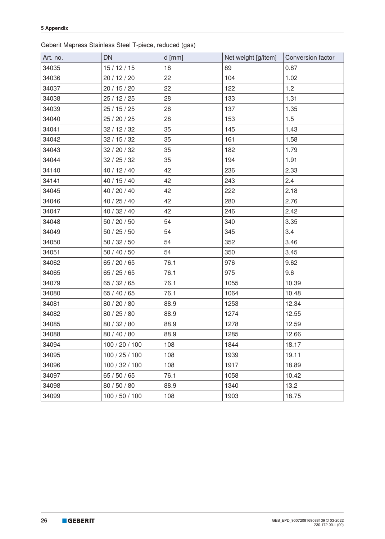Geberit Mapress Stainless Steel T-piece, reduced (gas)

| Art. no. | <b>DN</b>      | $d$ [mm] | Net weight [g/item] | Conversion factor |
|----------|----------------|----------|---------------------|-------------------|
| 34035    | 15/12/15       | 18       | 89                  | 0.87              |
| 34036    | 20 / 12 / 20   | 22       | 104                 | 1.02              |
| 34037    | 20 / 15 / 20   | 22       | 122                 | 1.2               |
| 34038    | 25/12/25       | 28       | 133                 | 1.31              |
| 34039    | 25/15/25       | 28       | 137                 | 1.35              |
| 34040    | 25 / 20 / 25   | 28       | 153                 | 1.5               |
| 34041    | 32/12/32       | 35       | 145                 | 1.43              |
| 34042    | 32/15/32       | 35       | 161                 | 1.58              |
| 34043    | 32 / 20 / 32   | 35       | 182                 | 1.79              |
| 34044    | 32/25/32       | 35       | 194                 | 1.91              |
| 34140    | 40 / 12 / 40   | 42       | 236                 | 2.33              |
| 34141    | 40 / 15 / 40   | 42       | 243                 | 2.4               |
| 34045    | 40 / 20 / 40   | 42       | 222                 | 2.18              |
| 34046    | 40 / 25 / 40   | 42       | 280                 | 2.76              |
| 34047    | 40 / 32 / 40   | 42       | 246                 | 2.42              |
| 34048    | 50 / 20 / 50   | 54       | 340                 | 3.35              |
| 34049    | 50/25/50       | 54       | 345                 | 3.4               |
| 34050    | 50/32/50       | 54       | 352                 | 3.46              |
| 34051    | 50/40/50       | 54       | 350                 | 3.45              |
| 34062    | 65 / 20 / 65   | 76.1     | 976                 | 9.62              |
| 34065    | 65/25/65       | 76.1     | 975                 | 9.6               |
| 34079    | 65/32/65       | 76.1     | 1055                | 10.39             |
| 34080    | 65 / 40 / 65   | 76.1     | 1064                | 10.48             |
| 34081    | 80 / 20 / 80   | 88.9     | 1253                | 12.34             |
| 34082    | 80 / 25 / 80   | 88.9     | 1274                | 12.55             |
| 34085    | 80 / 32 / 80   | 88.9     | 1278                | 12.59             |
| 34088    | 80 / 40 / 80   | 88.9     | 1285                | 12.66             |
| 34094    | 100 / 20 / 100 | 108      | 1844                | 18.17             |
| 34095    | 100 / 25 / 100 | 108      | 1939                | 19.11             |
| 34096    | 100/32/100     | 108      | 1917                | 18.89             |
| 34097    | 65 / 50 / 65   | 76.1     | 1058                | 10.42             |
| 34098    | 80 / 50 / 80   | 88.9     | 1340                | 13.2              |
| 34099    | 100 / 50 / 100 | 108      | 1903                | 18.75             |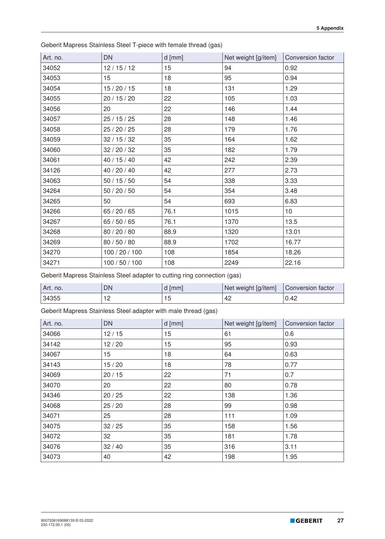| Art. no. | <b>DN</b>      | $d$ [mm] | Net weight [g/item] | Conversion factor |
|----------|----------------|----------|---------------------|-------------------|
| 34052    | 12/15/12       | 15       | 94                  | 0.92              |
| 34053    | 15             | 18       | 95                  | 0.94              |
| 34054    | 15/20/15       | 18       | 131                 | 1.29              |
| 34055    | 20 / 15 / 20   | 22       | 105                 | 1.03              |
| 34056    | 20             | 22       | 146                 | 1.44              |
| 34057    | 25/15/25       | 28       | 148                 | 1.46              |
| 34058    | 25 / 20 / 25   | 28       | 179                 | 1.76              |
| 34059    | 32/15/32       | 35       | 164                 | 1.62              |
| 34060    | 32/20/32       | 35       | 182                 | 1.79              |
| 34061    | 40 / 15 / 40   | 42       | 242                 | 2.39              |
| 34126    | 40 / 20 / 40   | 42       | 277                 | 2.73              |
| 34063    | 50/15/50       | 54       | 338                 | 3.33              |
| 34264    | 50 / 20 / 50   | 54       | 354                 | 3.48              |
| 34265    | 50             | 54       | 693                 | 6.83              |
| 34266    | 65 / 20 / 65   | 76.1     | 1015                | 10                |
| 34267    | 65 / 50 / 65   | 76.1     | 1370                | 13.5              |
| 34268    | 80 / 20 / 80   | 88.9     | 1320                | 13.01             |
| 34269    | 80 / 50 / 80   | 88.9     | 1702                | 16.77             |
| 34270    | 100 / 20 / 100 | 108      | 1854                | 18.26             |
| 34271    | 100 / 50 / 100 | 108      | 2249                | 22.16             |

Geberit Mapress Stainless Steel T-piece with female thread (gas)

Geberit Mapress Stainless Steel adapter to cutting ring connection (gas)

| Art. no. | DN  | d  mm | Net weight [g/item] | Conversion factor |
|----------|-----|-------|---------------------|-------------------|
| 34355    | م 4 | 15    | 42                  | 0.42              |

Geberit Mapress Stainless Steel adapter with male thread (gas)

| Art. no. | <b>DN</b> | $d$ [mm] | Net weight [g/item] | Conversion factor |
|----------|-----------|----------|---------------------|-------------------|
| 34066    | 12/15     | 15       | 61                  | 0.6               |
| 34142    | 12/20     | 15       | 95                  | 0.93              |
| 34067    | 15        | 18       | 64                  | 0.63              |
| 34143    | 15/20     | 18       | 78                  | 0.77              |
| 34069    | 20/15     | 22       | 71                  | 0.7               |
| 34070    | 20        | 22       | 80                  | 0.78              |
| 34346    | 20/25     | 22       | 138                 | 1.36              |
| 34068    | 25/20     | 28       | 99                  | 0.98              |
| 34071    | 25        | 28       | 111                 | 1.09              |
| 34075    | 32/25     | 35       | 158                 | 1.56              |
| 34072    | 32        | 35       | 181                 | 1.78              |
| 34076    | 32/40     | 35       | 316                 | 3.11              |
| 34073    | 40        | 42       | 198                 | 1.95              |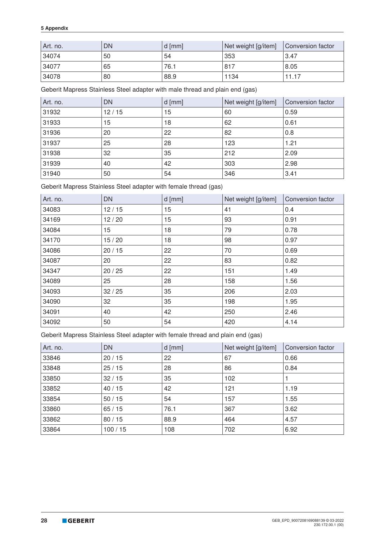| Art. no. | DN | d [mm] | Net weight [g/item] | Conversion factor |
|----------|----|--------|---------------------|-------------------|
| 34074    | 50 | 54     | 353                 | 3.47              |
| 34077    | 65 | 76.1   | 817                 | 8.05              |
| 34078    | 80 | 88.9   | 1134                | 11.17             |

Geberit Mapress Stainless Steel adapter with male thread and plain end (gas)

| Art. no. | <b>DN</b> | $d$ [mm] | Net weight [g/item] | Conversion factor |
|----------|-----------|----------|---------------------|-------------------|
| 31932    | 12/15     | 15       | 60                  | 0.59              |
| 31933    | 15        | 18       | 62                  | 0.61              |
| 31936    | 20        | 22       | 82                  | 0.8               |
| 31937    | 25        | 28       | 123                 | 1.21              |
| 31938    | 32        | 35       | 212                 | 2.09              |
| 31939    | 40        | 42       | 303                 | 2.98              |
| 31940    | 50        | 54       | 346                 | 3.41              |

Geberit Mapress Stainless Steel adapter with female thread (gas)

| Art. no. | <b>DN</b> | $d$ [mm] | Net weight [g/item] | Conversion factor |
|----------|-----------|----------|---------------------|-------------------|
| 34083    | 12/15     | 15       | 41                  | 0.4               |
| 34169    | 12/20     | 15       | 93                  | 0.91              |
| 34084    | 15        | 18       | 79                  | 0.78              |
| 34170    | 15/20     | 18       | 98                  | 0.97              |
| 34086    | 20/15     | 22       | 70                  | 0.69              |
| 34087    | 20        | 22       | 83                  | 0.82              |
| 34347    | 20/25     | 22       | 151                 | 1.49              |
| 34089    | 25        | 28       | 158                 | 1.56              |
| 34093    | 32/25     | 35       | 206                 | 2.03              |
| 34090    | 32        | 35       | 198                 | 1.95              |
| 34091    | 40        | 42       | 250                 | 2.46              |
| 34092    | 50        | 54       | 420                 | 4.14              |

Geberit Mapress Stainless Steel adapter with female thread and plain end (gas)

| Art. no. | DN     | $d$ [mm] | Net weight [g/item] | Conversion factor |
|----------|--------|----------|---------------------|-------------------|
| 33846    | 20/15  | 22       | 67                  | 0.66              |
| 33848    | 25/15  | 28       | 86                  | 0.84              |
| 33850    | 32/15  | 35       | 102                 |                   |
| 33852    | 40/15  | 42       | 121                 | 1.19              |
| 33854    | 50/15  | 54       | 157                 | 1.55              |
| 33860    | 65/15  | 76.1     | 367                 | 3.62              |
| 33862    | 80/15  | 88.9     | 464                 | 4.57              |
| 33864    | 100/15 | 108      | 702                 | 6.92              |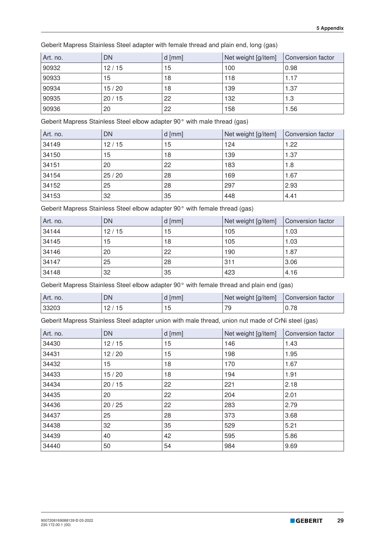|  | Geberit Mapress Stainless Steel adapter with female thread and plain end, long (gas) |  |
|--|--------------------------------------------------------------------------------------|--|
|--|--------------------------------------------------------------------------------------|--|

| Art. no. | <b>DN</b> | $d$ [mm] | Net weight [g/item] | Conversion factor |
|----------|-----------|----------|---------------------|-------------------|
| 90932    | 12/15     | 15       | 100                 | 0.98              |
| 90933    | 15        | 18       | 118                 | 1.17              |
| 90934    | 15/20     | 18       | 139                 | 1.37              |
| 90935    | 20/15     | 22       | 132                 | 1.3               |
| 90936    | 20        | 22       | 158                 | 1.56              |

Geberit Mapress Stainless Steel elbow adapter 90° with male thread (gas)

| Art. no. | <b>DN</b> | $d$ [mm] | Net weight [g/item] | Conversion factor |
|----------|-----------|----------|---------------------|-------------------|
| 34149    | 12/15     | 15       | 124                 | 1.22              |
| 34150    | 15        | 18       | 139                 | 1.37              |
| 34151    | 20        | 22       | 183                 | 1.8               |
| 34154    | 25/20     | 28       | 169                 | 1.67              |
| 34152    | 25        | 28       | 297                 | 2.93              |
| 34153    | 32        | 35       | 448                 | 4.41              |

Geberit Mapress Stainless Steel elbow adapter 90° with female thread (gas)

| Art. no. | <b>DN</b> | $ d$ [mm] | Net weight [g/item] | Conversion factor |
|----------|-----------|-----------|---------------------|-------------------|
| 34144    | 12/15     | 15        | 105                 | 1.03              |
| 34145    | 15        | 18        | 105                 | 1.03              |
| 34146    | 20        | 22        | 190                 | 1.87              |
| 34147    | 25        | 28        | 311                 | 3.06              |
| 34148    | 32        | 35        | 423                 | 4.16              |

Geberit Mapress Stainless Steel elbow adapter 90° with female thread and plain end (gas)

| Art. no. | DN  | <b>Imml</b> | Net weight [g/item] | Conversion factor                         |
|----------|-----|-------------|---------------------|-------------------------------------------|
| 33203    | ل ا | ں ا         | 7С                  | $\overline{\phantom{a}}$<br><b>v.</b> / C |

Geberit Mapress Stainless Steel adapter union with male thread, union nut made of CrNi steel (gas)

| Art. no. | <b>DN</b> | $d$ [mm] | Net weight [g/item] | Conversion factor |
|----------|-----------|----------|---------------------|-------------------|
| 34430    | 12/15     | 15       | 146                 | 1.43              |
| 34431    | 12/20     | 15       | 198                 | 1.95              |
| 34432    | 15        | 18       | 170                 | 1.67              |
| 34433    | 15/20     | 18       | 194                 | 1.91              |
| 34434    | 20/15     | 22       | 221                 | 2.18              |
| 34435    | 20        | 22       | 204                 | 2.01              |
| 34436    | 20/25     | 22       | 283                 | 2.79              |
| 34437    | 25        | 28       | 373                 | 3.68              |
| 34438    | 32        | 35       | 529                 | 5.21              |
| 34439    | 40        | 42       | 595                 | 5.86              |
| 34440    | 50        | 54       | 984                 | 9.69              |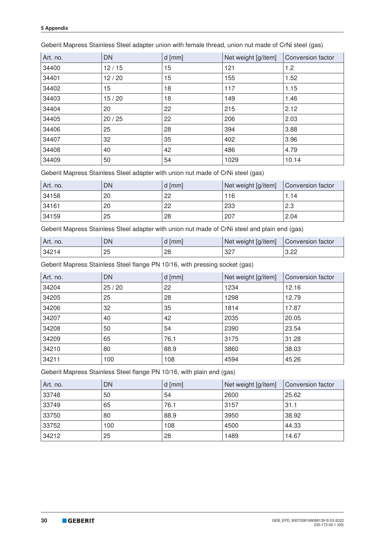| Art. no. | <b>DN</b> | $d$ [mm] | Net weight [g/item] | Conversion factor |
|----------|-----------|----------|---------------------|-------------------|
| 34400    | 12/15     | 15       | 121                 | 1.2               |
| 34401    | 12/20     | 15       | 155                 | 1.52              |
| 34402    | 15        | 18       | 117                 | 1.15              |
| 34403    | 15/20     | 18       | 149                 | 1.46              |
| 34404    | 20        | 22       | 215                 | 2.12              |
| 34405    | 20/25     | 22       | 206                 | 2.03              |
| 34406    | 25        | 28       | 394                 | 3.88              |
| 34407    | 32        | 35       | 402                 | 3.96              |
| 34408    | 40        | 42       | 486                 | 4.79              |
| 34409    | 50        | 54       | 1029                | 10.14             |

Geberit Mapress Stainless Steel adapter union with female thread, union nut made of CrNi steel (gas)

Geberit Mapress Stainless Steel adapter with union nut made of CrNi steel (gas)

| Art. no. | DN | $d$ [mm] | Net weight [g/item] | Conversion factor |
|----------|----|----------|---------------------|-------------------|
| 34158    | 20 | 22       | 116                 | .14               |
| 34161    | 20 | 22       | 233                 | 2.3               |
| 34159    | 25 | 28       | 207                 | $^{\circ}$ 2.04   |

Geberit Mapress Stainless Steel adapter with union nut made of CrNi steel and plain end (gas)

| Art. no. | DN | mm | Net weight [g/item] | Conversion factor |
|----------|----|----|---------------------|-------------------|
| ' 34214  | 25 | 28 | 327                 | 3.22              |

Geberit Mapress Stainless Steel flange PN 10/16, with pressing socket (gas)

| Art. no. | <b>DN</b> | $d$ [mm] | Net weight [g/item] | Conversion factor |
|----------|-----------|----------|---------------------|-------------------|
| 34204    | 25/20     | 22       | 1234                | 12.16             |
| 34205    | 25        | 28       | 1298                | 12.79             |
| 34206    | 32        | 35       | 1814                | 17.87             |
| 34207    | 40        | 42       | 2035                | 20.05             |
| 34208    | 50        | 54       | 2390                | 23.54             |
| 34209    | 65        | 76.1     | 3175                | 31.28             |
| 34210    | 80        | 88.9     | 3860                | 38.03             |
| 34211    | 100       | 108      | 4594                | 45.26             |

Geberit Mapress Stainless Steel flange PN 10/16, with plain end (gas)

| Art. no. | DN  | $d$ [mm] | Net weight [g/item] | Conversion factor |
|----------|-----|----------|---------------------|-------------------|
| 33748    | 50  | 54       | 2600                | 25.62             |
| 33749    | 65  | 76.1     | 3157                | 31.1              |
| 33750    | 80  | 88.9     | 3950                | 38.92             |
| 33752    | 100 | 108      | 4500                | 44.33             |
| 34212    | 25  | 28       | 1489                | 14.67             |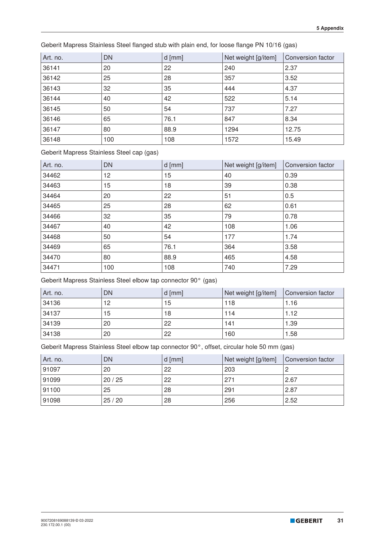Art. no. DN d [mm] Net weight [g/item] Conversion factor 36141 20 22 240 2.37 25 28 357 3.52 36143 | 32 | 35 | 444 | 4.37 40 42 522 5.14 50 54 737 7.27 65 76.1 847 8.34 80 88.9 1294 12.75 36148 | 100 | 108 | 1572 | 15.49

Geberit Mapress Stainless Steel flanged stub with plain end, for loose flange PN 10/16 (gas)

Geberit Mapress Stainless Steel cap (gas)

| Art. no. | <b>DN</b> | $d$ [mm] | Net weight [g/item] | Conversion factor |
|----------|-----------|----------|---------------------|-------------------|
| 34462    | 12        | 15       | 40                  | 0.39              |
| 34463    | 15        | 18       | 39                  | 0.38              |
| 34464    | 20        | 22       | 51                  | 0.5               |
| 34465    | 25        | 28       | 62                  | 0.61              |
| 34466    | 32        | 35       | 79                  | 0.78              |
| 34467    | 40        | 42       | 108                 | 1.06              |
| 34468    | 50        | 54       | 177                 | 1.74              |
| 34469    | 65        | 76.1     | 364                 | 3.58              |
| 34470    | 80        | 88.9     | 465                 | 4.58              |
| 34471    | 100       | 108      | 740                 | 7.29              |

Geberit Mapress Stainless Steel elbow tap connector 90° (gas)

| Art. no. | <b>DN</b> | $d$ [mm] | Net weight [g/item] | Conversion factor |
|----------|-----------|----------|---------------------|-------------------|
| 34136    | 12        | 15       | 118                 | 1.16              |
| 34137    | 15        | 18       | 114                 | 1.12              |
| 34139    | 20        | 22       | 141                 | 1.39              |
| 34138    | 20        | 22       | 160                 | 1.58              |

Geberit Mapress Stainless Steel elbow tap connector 90°, offset, circular hole 50 mm (gas)

| Art. no. | DN    | $d$ [mm] | Net weight [g/item] | Conversion factor |
|----------|-------|----------|---------------------|-------------------|
| 91097    | 20    | 22       | 203                 |                   |
| 91099    | 20/25 | 22       | 271                 | 2.67              |
| 91100    | 25    | 28       | 291                 | 2.87              |
| 91098    | 25/20 | 28       | 256                 | 2.52              |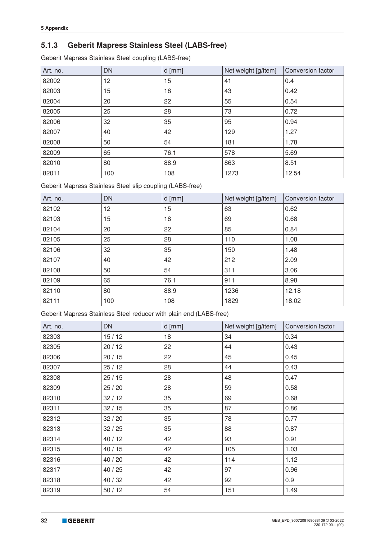## **5.1.3 Geberit Mapress Stainless Steel (LABS-free)**

Geberit Mapress Stainless Steel coupling (LABS-free)

| Art. no. | <b>DN</b> | $d$ [mm] | Net weight [g/item] | Conversion factor |
|----------|-----------|----------|---------------------|-------------------|
| 82002    | 12        | 15       | 41                  | 0.4               |
| 82003    | 15        | 18       | 43                  | 0.42              |
| 82004    | 20        | 22       | 55                  | 0.54              |
| 82005    | 25        | 28       | 73                  | 0.72              |
| 82006    | 32        | 35       | 95                  | 0.94              |
| 82007    | 40        | 42       | 129                 | 1.27              |
| 82008    | 50        | 54       | 181                 | 1.78              |
| 82009    | 65        | 76.1     | 578                 | 5.69              |
| 82010    | 80        | 88.9     | 863                 | 8.51              |
| 82011    | 100       | 108      | 1273                | 12.54             |

Geberit Mapress Stainless Steel slip coupling (LABS-free)

| Art. no. | <b>DN</b> | $d$ [mm] | Net weight [g/item] | Conversion factor |
|----------|-----------|----------|---------------------|-------------------|
| 82102    | 12        | 15       | 63                  | 0.62              |
| 82103    | 15        | 18       | 69                  | 0.68              |
| 82104    | 20        | 22       | 85                  | 0.84              |
| 82105    | 25        | 28       | 110                 | 1.08              |
| 82106    | 32        | 35       | 150                 | 1.48              |
| 82107    | 40        | 42       | 212                 | 2.09              |
| 82108    | 50        | 54       | 311                 | 3.06              |
| 82109    | 65        | 76.1     | 911                 | 8.98              |
| 82110    | 80        | 88.9     | 1236                | 12.18             |
| 82111    | 100       | 108      | 1829                | 18.02             |

Geberit Mapress Stainless Steel reducer with plain end (LABS-free)

| Art. no. | <b>DN</b> | $d$ [mm] | Net weight [g/item] | Conversion factor |
|----------|-----------|----------|---------------------|-------------------|
| 82303    | 15/12     | 18       | 34                  | 0.34              |
| 82305    | 20/12     | 22       | 44                  | 0.43              |
| 82306    | 20/15     | 22       | 45                  | 0.45              |
| 82307    | 25/12     | 28       | 44                  | 0.43              |
| 82308    | 25/15     | 28       | 48                  | 0.47              |
| 82309    | 25/20     | 28       | 59                  | 0.58              |
| 82310    | 32/12     | 35       | 69                  | 0.68              |
| 82311    | 32/15     | 35       | 87                  | 0.86              |
| 82312    | 32/20     | 35       | 78                  | 0.77              |
| 82313    | 32/25     | 35       | 88                  | 0.87              |
| 82314    | 40/12     | 42       | 93                  | 0.91              |
| 82315    | 40/15     | 42       | 105                 | 1.03              |
| 82316    | 40 / 20   | 42       | 114                 | 1.12              |
| 82317    | 40/25     | 42       | 97                  | 0.96              |
| 82318    | 40/32     | 42       | 92                  | 0.9               |
| 82319    | 50/12     | 54       | 151                 | 1.49              |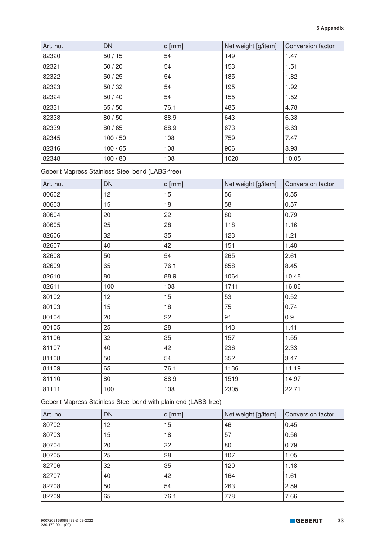| Art. no. | <b>DN</b> | $d$ [mm] | Net weight [g/item] | Conversion factor |
|----------|-----------|----------|---------------------|-------------------|
| 82320    | 50/15     | 54       | 149                 | 1.47              |
| 82321    | 50/20     | 54       | 153                 | 1.51              |
| 82322    | 50/25     | 54       | 185                 | 1.82              |
| 82323    | 50/32     | 54       | 195                 | 1.92              |
| 82324    | 50/40     | 54       | 155                 | 1.52              |
| 82331    | 65/50     | 76.1     | 485                 | 4.78              |
| 82338    | 80/50     | 88.9     | 643                 | 6.33              |
| 82339    | 80/65     | 88.9     | 673                 | 6.63              |
| 82345    | 100/50    | 108      | 759                 | 7.47              |
| 82346    | 100/65    | 108      | 906                 | 8.93              |
| 82348    | 100/80    | 108      | 1020                | 10.05             |

Geberit Mapress Stainless Steel bend (LABS-free)

| Art. no. | <b>DN</b> | $d$ [mm] | Net weight [g/item] | Conversion factor |
|----------|-----------|----------|---------------------|-------------------|
| 80602    | 12        | 15       | 56                  | 0.55              |
| 80603    | 15        | 18       | 58                  | 0.57              |
| 80604    | 20        | 22       | 80                  | 0.79              |
| 80605    | 25        | 28       | 118                 | 1.16              |
| 82606    | 32        | 35       | 123                 | 1.21              |
| 82607    | 40        | 42       | 151                 | 1.48              |
| 82608    | 50        | 54       | 265                 | 2.61              |
| 82609    | 65        | 76.1     | 858                 | 8.45              |
| 82610    | 80        | 88.9     | 1064                | 10.48             |
| 82611    | 100       | 108      | 1711                | 16.86             |
| 80102    | 12        | 15       | 53                  | 0.52              |
| 80103    | 15        | 18       | 75                  | 0.74              |
| 80104    | 20        | 22       | 91                  | 0.9               |
| 80105    | 25        | 28       | 143                 | 1.41              |
| 81106    | 32        | 35       | 157                 | 1.55              |
| 81107    | 40        | 42       | 236                 | 2.33              |
| 81108    | 50        | 54       | 352                 | 3.47              |
| 81109    | 65        | 76.1     | 1136                | 11.19             |
| 81110    | 80        | 88.9     | 1519                | 14.97             |
| 81111    | 100       | 108      | 2305                | 22.71             |

Geberit Mapress Stainless Steel bend with plain end (LABS-free)

| Art. no. | <b>DN</b> | $d$ [mm] | Net weight [g/item] | Conversion factor |
|----------|-----------|----------|---------------------|-------------------|
| 80702    | 12        | 15       | 46                  | 0.45              |
| 80703    | 15        | 18       | 57                  | 0.56              |
| 80704    | 20        | 22       | 80                  | 0.79              |
| 80705    | 25        | 28       | 107                 | 1.05              |
| 82706    | 32        | 35       | 120                 | 1.18              |
| 82707    | 40        | 42       | 164                 | 1.61              |
| 82708    | 50        | 54       | 263                 | 2.59              |
| 82709    | 65        | 76.1     | 778                 | 7.66              |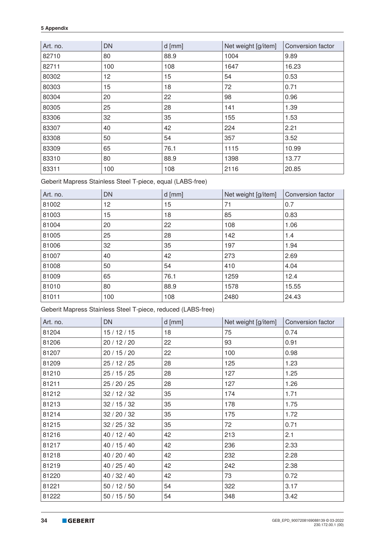| Art. no. | <b>DN</b> | $d$ [mm] | Net weight [g/item] | Conversion factor |
|----------|-----------|----------|---------------------|-------------------|
| 82710    | 80        | 88.9     | 1004                | 9.89              |
| 82711    | 100       | 108      | 1647                | 16.23             |
| 80302    | 12        | 15       | 54                  | 0.53              |
| 80303    | 15        | 18       | 72                  | 0.71              |
| 80304    | 20        | 22       | 98                  | 0.96              |
| 80305    | 25        | 28       | 141                 | 1.39              |
| 83306    | 32        | 35       | 155                 | 1.53              |
| 83307    | 40        | 42       | 224                 | 2.21              |
| 83308    | 50        | 54       | 357                 | 3.52              |
| 83309    | 65        | 76.1     | 1115                | 10.99             |
| 83310    | 80        | 88.9     | 1398                | 13.77             |
| 83311    | 100       | 108      | 2116                | 20.85             |

Geberit Mapress Stainless Steel T-piece, equal (LABS-free)

| Art. no. | <b>DN</b> | $d$ [mm] | Net weight [g/item] | Conversion factor |
|----------|-----------|----------|---------------------|-------------------|
| 81002    | 12        | 15       | 71                  | 0.7               |
| 81003    | 15        | 18       | 85                  | 0.83              |
| 81004    | 20        | 22       | 108                 | 1.06              |
| 81005    | 25        | 28       | 142                 | 1.4               |
| 81006    | 32        | 35       | 197                 | 1.94              |
| 81007    | 40        | 42       | 273                 | 2.69              |
| 81008    | 50        | 54       | 410                 | 4.04              |
| 81009    | 65        | 76.1     | 1259                | 12.4              |
| 81010    | 80        | 88.9     | 1578                | 15.55             |
| 81011    | 100       | 108      | 2480                | 24.43             |

Geberit Mapress Stainless Steel T-piece, reduced (LABS-free)

| Art. no. | <b>DN</b>    | $d$ [mm] | Net weight [g/item] | Conversion factor |
|----------|--------------|----------|---------------------|-------------------|
| 81204    | 15/12/15     | 18       | 75                  | 0.74              |
| 81206    | 20 / 12 / 20 | 22       | 93                  | 0.91              |
| 81207    | 20 / 15 / 20 | 22       | 100                 | 0.98              |
| 81209    | 25/12/25     | 28       | 125                 | 1.23              |
| 81210    | 25/15/25     | 28       | 127                 | 1.25              |
| 81211    | 25 / 20 / 25 | 28       | 127                 | 1.26              |
| 81212    | 32/12/32     | 35       | 174                 | 1.71              |
| 81213    | 32/15/32     | 35       | 178                 | 1.75              |
| 81214    | 32 / 20 / 32 | 35       | 175                 | 1.72              |
| 81215    | 32/25/32     | 35       | 72                  | 0.71              |
| 81216    | 40 / 12 / 40 | 42       | 213                 | 2.1               |
| 81217    | 40 / 15 / 40 | 42       | 236                 | 2.33              |
| 81218    | 40 / 20 / 40 | 42       | 232                 | 2.28              |
| 81219    | 40 / 25 / 40 | 42       | 242                 | 2.38              |
| 81220    | 40 / 32 / 40 | 42       | 73                  | 0.72              |
| 81221    | 50/12/50     | 54       | 322                 | 3.17              |
| 81222    | 50/15/50     | 54       | 348                 | 3.42              |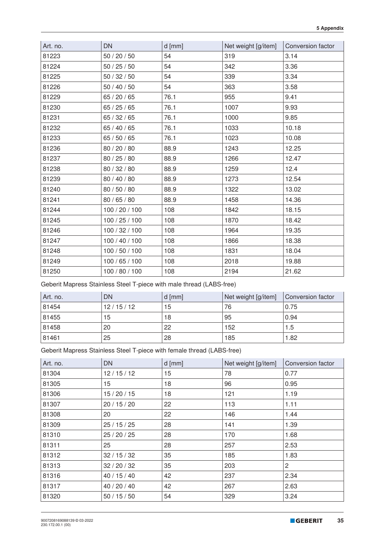| Art. no. | <b>DN</b>      | $d$ [mm] | Net weight [g/item] | Conversion factor |
|----------|----------------|----------|---------------------|-------------------|
| 81223    | 50 / 20 / 50   | 54       | 319                 | 3.14              |
| 81224    | 50/25/50       | 54       | 342                 | 3.36              |
| 81225    | 50/32/50       | 54       | 339                 | 3.34              |
| 81226    | 50/40/50       | 54       | 363                 | 3.58              |
| 81229    | 65 / 20 / 65   | 76.1     | 955                 | 9.41              |
| 81230    | 65/25/65       | 76.1     | 1007                | 9.93              |
| 81231    | 65/32/65       | 76.1     | 1000                | 9.85              |
| 81232    | 65 / 40 / 65   | 76.1     | 1033                | 10.18             |
| 81233    | 65 / 50 / 65   | 76.1     | 1023                | 10.08             |
| 81236    | 80 / 20 / 80   | 88.9     | 1243                | 12.25             |
| 81237    | 80 / 25 / 80   | 88.9     | 1266                | 12.47             |
| 81238    | 80 / 32 / 80   | 88.9     | 1259                | 12.4              |
| 81239    | 80 / 40 / 80   | 88.9     | 1273                | 12.54             |
| 81240    | 80 / 50 / 80   | 88.9     | 1322                | 13.02             |
| 81241    | 80 / 65 / 80   | 88.9     | 1458                | 14.36             |
| 81244    | 100 / 20 / 100 | 108      | 1842                | 18.15             |
| 81245    | 100 / 25 / 100 | 108      | 1870                | 18.42             |
| 81246    | 100 / 32 / 100 | 108      | 1964                | 19.35             |
| 81247    | 100 / 40 / 100 | 108      | 1866                | 18.38             |
| 81248    | 100 / 50 / 100 | 108      | 1831                | 18.04             |
| 81249    | 100 / 65 / 100 | 108      | 2018                | 19.88             |
| 81250    | 100 / 80 / 100 | 108      | 2194                | 21.62             |

Geberit Mapress Stainless Steel T-piece with male thread (LABS-free)

| Art. no. | DN       | $d$ [mm] | Net weight [g/item] | Conversion factor |
|----------|----------|----------|---------------------|-------------------|
| 81454    | 12/15/12 | 15       | 76                  | 0.75              |
| 81455    | 15       | 18       | 95                  | 0.94              |
| 81458    | 20       | 22       | 152                 | 1.5               |
| 81461    | 25       | 28       | 185                 | 1.82              |

Geberit Mapress Stainless Steel T-piece with female thread (LABS-free)

| Art. no. | <b>DN</b>    | $d$ [mm] | Net weight [g/item] | Conversion factor |
|----------|--------------|----------|---------------------|-------------------|
| 81304    | 12/15/12     | 15       | 78                  | 0.77              |
| 81305    | 15           | 18       | 96                  | 0.95              |
| 81306    | 15/20/15     | 18       | 121                 | 1.19              |
| 81307    | 20 / 15 / 20 | 22       | 113                 | 1.11              |
| 81308    | 20           | 22       | 146                 | 1.44              |
| 81309    | 25/15/25     | 28       | 141                 | 1.39              |
| 81310    | 25/20/25     | 28       | 170                 | 1.68              |
| 81311    | 25           | 28       | 257                 | 2.53              |
| 81312    | 32/15/32     | 35       | 185                 | 1.83              |
| 81313    | 32/20/32     | 35       | 203                 | $\overline{c}$    |
| 81316    | 40 / 15 / 40 | 42       | 237                 | 2.34              |
| 81317    | 40 / 20 / 40 | 42       | 267                 | 2.63              |
| 81320    | 50/15/50     | 54       | 329                 | 3.24              |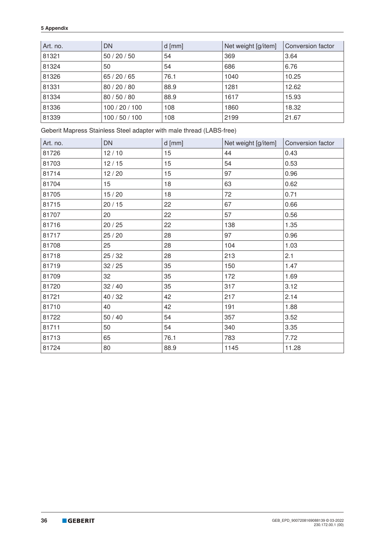| Art. no. | <b>DN</b>      | $d$ [mm] | Net weight [g/item] | Conversion factor |
|----------|----------------|----------|---------------------|-------------------|
| 81321    | 50/20/50       | 54       | 369                 | 3.64              |
| 81324    | 50             | 54       | 686                 | 6.76              |
| 81326    | 65/20/65       | 76.1     | 1040                | 10.25             |
| 81331    | 80 / 20 / 80   | 88.9     | 1281                | 12.62             |
| 81334    | 80 / 50 / 80   | 88.9     | 1617                | 15.93             |
| 81336    | 100 / 20 / 100 | 108      | 1860                | 18.32             |
| 81339    | 100/50/100     | 108      | 2199                | 21.67             |

Geberit Mapress Stainless Steel adapter with male thread (LABS-free)

| Art. no. | <b>DN</b> | $d$ [mm] | Net weight [g/item] | Conversion factor |
|----------|-----------|----------|---------------------|-------------------|
| 81726    | 12/10     | 15       | 44                  | 0.43              |
| 81703    | 12/15     | 15       | 54                  | 0.53              |
| 81714    | 12/20     | 15       | 97                  | 0.96              |
| 81704    | 15        | 18       | 63                  | 0.62              |
| 81705    | 15/20     | 18       | 72                  | 0.71              |
| 81715    | 20/15     | 22       | 67                  | 0.66              |
| 81707    | 20        | 22       | 57                  | 0.56              |
| 81716    | 20/25     | 22       | 138                 | 1.35              |
| 81717    | 25/20     | 28       | 97                  | 0.96              |
| 81708    | 25        | 28       | 104                 | 1.03              |
| 81718    | 25/32     | 28       | 213                 | 2.1               |
| 81719    | 32/25     | 35       | 150                 | 1.47              |
| 81709    | 32        | 35       | 172                 | 1.69              |
| 81720    | 32/40     | 35       | 317                 | 3.12              |
| 81721    | 40 / 32   | 42       | 217                 | 2.14              |
| 81710    | 40        | 42       | 191                 | 1.88              |
| 81722    | $50/40$   | 54       | 357                 | 3.52              |
| 81711    | 50        | 54       | 340                 | 3.35              |
| 81713    | 65        | 76.1     | 783                 | 7.72              |
| 81724    | 80        | 88.9     | 1145                | 11.28             |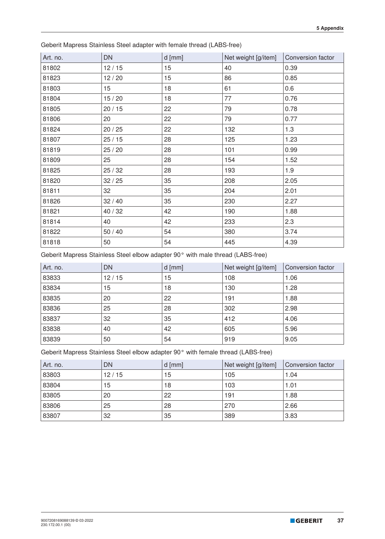| Art. no. | <b>DN</b> | $d$ [mm] | Net weight [g/item] | Conversion factor |
|----------|-----------|----------|---------------------|-------------------|
| 81802    | 12/15     | 15       | 40                  | 0.39              |
| 81823    | 12/20     | 15       | 86                  | 0.85              |
| 81803    | 15        | 18       | 61                  | 0.6               |
| 81804    | 15/20     | 18       | 77                  | 0.76              |
| 81805    | 20/15     | 22       | 79                  | 0.78              |
| 81806    | 20        | 22       | 79                  | 0.77              |
| 81824    | 20/25     | 22       | 132                 | 1.3               |
| 81807    | 25/15     | 28       | 125                 | 1.23              |
| 81819    | 25/20     | 28       | 101                 | 0.99              |
| 81809    | 25        | 28       | 154                 | 1.52              |
| 81825    | 25/32     | 28       | 193                 | 1.9               |
| 81820    | 32/25     | 35       | 208                 | 2.05              |
| 81811    | 32        | 35       | 204                 | 2.01              |
| 81826    | 32/40     | 35       | 230                 | 2.27              |
| 81821    | 40 / 32   | 42       | 190                 | 1.88              |
| 81814    | 40        | 42       | 233                 | 2.3               |
| 81822    | $50/40$   | 54       | 380                 | 3.74              |
| 81818    | 50        | 54       | 445                 | 4.39              |

Geberit Mapress Stainless Steel adapter with female thread (LABS-free)

Geberit Mapress Stainless Steel elbow adapter 90° with male thread (LABS-free)

| Art. no. | <b>DN</b> | $d$ [mm] | Net weight [g/item] | Conversion factor |
|----------|-----------|----------|---------------------|-------------------|
| 83833    | 12/15     | 15       | 108                 | 1.06              |
| 83834    | 15        | 18       | 130                 | 1.28              |
| 83835    | 20        | 22       | 191                 | 1.88              |
| 83836    | 25        | 28       | 302                 | 2.98              |
| 83837    | 32        | 35       | 412                 | 4.06              |
| 83838    | 40        | 42       | 605                 | 5.96              |
| 83839    | 50        | 54       | 919                 | 9.05              |

Geberit Mapress Stainless Steel elbow adapter 90° with female thread (LABS-free)

| Art. no. | DN    | $d$ [mm] | Net weight [g/item] | Conversion factor |
|----------|-------|----------|---------------------|-------------------|
| 83803    | 12/15 | 15       | 105                 | 1.04              |
| 83804    | 15    | 18       | 103                 | 1.01              |
| 83805    | 20    | 22       | 191                 | 1.88              |
| 83806    | 25    | 28       | 270                 | 2.66              |
| 83807    | 32    | 35       | 389                 | 3.83              |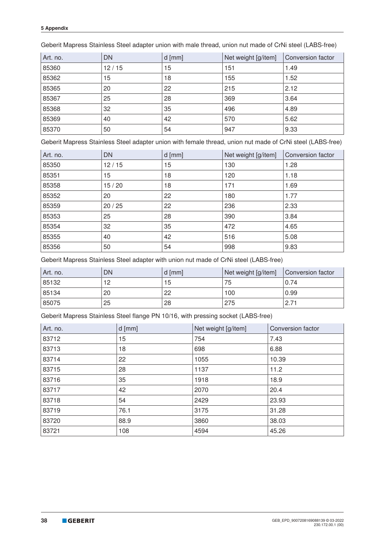| Art. no. | <b>DN</b> | $d$ [mm] | Net weight [g/item] | Conversion factor |
|----------|-----------|----------|---------------------|-------------------|
| 85360    | 12/15     | 15       | 151                 | 1.49              |
| 85362    | 15        | 18       | 155                 | 1.52              |
| 85365    | 20        | 22       | 215                 | 2.12              |
| 85367    | 25        | 28       | 369                 | 3.64              |
| 85368    | 32        | 35       | 496                 | 4.89              |
| 85369    | 40        | 42       | 570                 | 5.62              |
| 85370    | 50        | 54       | 947                 | 9.33              |

Geberit Mapress Stainless Steel adapter union with male thread, union nut made of CrNi steel (LABS-free)

Geberit Mapress Stainless Steel adapter union with female thread, union nut made of CrNi steel (LABS-free)

| Art. no. | <b>DN</b> | $d$ [mm] | Net weight [g/item] | Conversion factor |
|----------|-----------|----------|---------------------|-------------------|
| 85350    | 12/15     | 15       | 130                 | 1.28              |
| 85351    | 15        | 18       | 120                 | 1.18              |
| 85358    | 15/20     | 18       | 171                 | 1.69              |
| 85352    | 20        | 22       | 180                 | 1.77              |
| 85359    | 20/25     | 22       | 236                 | 2.33              |
| 85353    | 25        | 28       | 390                 | 3.84              |
| 85354    | 32        | 35       | 472                 | 4.65              |
| 85355    | 40        | 42       | 516                 | 5.08              |
| 85356    | 50        | 54       | 998                 | 9.83              |

Geberit Mapress Stainless Steel adapter with union nut made of CrNi steel (LABS-free)

| Art. no. | DN | l d [mm] | Net weight [g/item] | Conversion factor |
|----------|----|----------|---------------------|-------------------|
| 85132    | 12 | 15       | 75                  | 0.74              |
| 85134    | 20 | 22       | 100                 | 0.99              |
| 85075    | 25 | 28       | 275                 | 2.71              |

Geberit Mapress Stainless Steel flange PN 10/16, with pressing socket (LABS-free)

| Art. no. | $d$ [mm] | Net weight [g/item] | Conversion factor |
|----------|----------|---------------------|-------------------|
| 83712    | 15       | 754                 | 7.43              |
| 83713    | 18       | 698                 | 6.88              |
| 83714    | 22       | 1055                | 10.39             |
| 83715    | 28       | 1137                | 11.2              |
| 83716    | 35       | 1918                | 18.9              |
| 83717    | 42       | 2070                | 20.4              |
| 83718    | 54       | 2429                | 23.93             |
| 83719    | 76.1     | 3175                | 31.28             |
| 83720    | 88.9     | 3860                | 38.03             |
| 83721    | 108      | 4594                | 45.26             |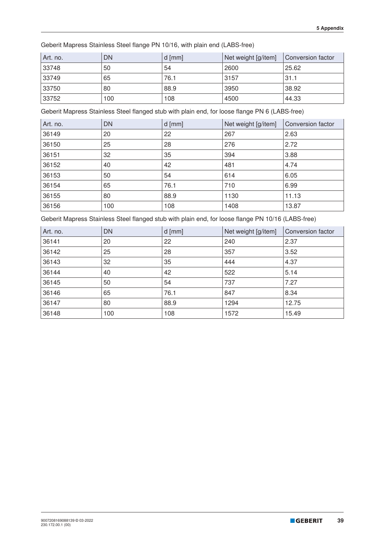Geberit Mapress Stainless Steel flange PN 10/16, with plain end (LABS-free)

| Art. no. | <b>DN</b> | d $[mm]$ | Net weight [g/item] | Conversion factor |
|----------|-----------|----------|---------------------|-------------------|
| 33748    | 50        | 54       | 2600                | 25.62             |
| 33749    | 65        | 76.1     | 3157                | 31.1              |
| 33750    | 80        | 88.9     | 3950                | 38.92             |
| 33752    | 100       | 108      | 4500                | 44.33             |

Geberit Mapress Stainless Steel flanged stub with plain end, for loose flange PN 6 (LABS-free)

| Art. no. | <b>DN</b> | $d$ [mm] | Net weight [g/item] | Conversion factor |
|----------|-----------|----------|---------------------|-------------------|
| 36149    | 20        | 22       | 267                 | 2.63              |
| 36150    | 25        | 28       | 276                 | 2.72              |
| 36151    | 32        | 35       | 394                 | 3.88              |
| 36152    | 40        | 42       | 481                 | 4.74              |
| 36153    | 50        | 54       | 614                 | 6.05              |
| 36154    | 65        | 76.1     | 710                 | 6.99              |
| 36155    | 80        | 88.9     | 1130                | 11.13             |
| 36156    | 100       | 108      | 1408                | 13.87             |

Geberit Mapress Stainless Steel flanged stub with plain end, for loose flange PN 10/16 (LABS-free)

| Art. no. | <b>DN</b> | $d$ [mm] | Net weight [g/item] | Conversion factor |
|----------|-----------|----------|---------------------|-------------------|
| 36141    | 20        | 22       | 240                 | 2.37              |
| 36142    | 25        | 28       | 357                 | 3.52              |
| 36143    | 32        | 35       | 444                 | 4.37              |
| 36144    | 40        | 42       | 522                 | 5.14              |
| 36145    | 50        | 54       | 737                 | 7.27              |
| 36146    | 65        | 76.1     | 847                 | 8.34              |
| 36147    | 80        | 88.9     | 1294                | 12.75             |
| 36148    | 100       | 108      | 1572                | 15.49             |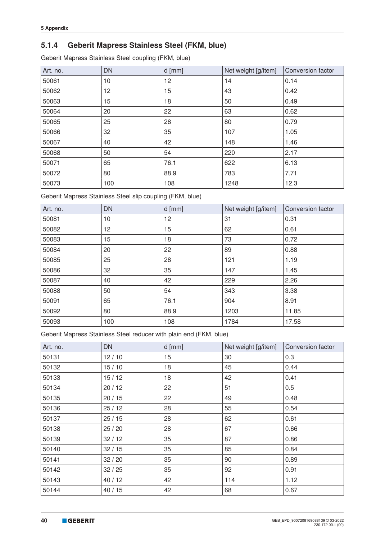## **5.1.4 Geberit Mapress Stainless Steel (FKM, blue)**

Geberit Mapress Stainless Steel coupling (FKM, blue)

| Art. no. | <b>DN</b> | $d$ [mm] | Net weight [g/item] | <b>Conversion factor</b> |
|----------|-----------|----------|---------------------|--------------------------|
| 50061    | 10        | 12       | 14                  | 0.14                     |
| 50062    | 12        | 15       | 43                  | 0.42                     |
| 50063    | 15        | 18       | 50                  | 0.49                     |
| 50064    | 20        | 22       | 63                  | 0.62                     |
| 50065    | 25        | 28       | 80                  | 0.79                     |
| 50066    | 32        | 35       | 107                 | 1.05                     |
| 50067    | 40        | 42       | 148                 | 1.46                     |
| 50068    | 50        | 54       | 220                 | 2.17                     |
| 50071    | 65        | 76.1     | 622                 | 6.13                     |
| 50072    | 80        | 88.9     | 783                 | 7.71                     |
| 50073    | 100       | 108      | 1248                | 12.3                     |

Geberit Mapress Stainless Steel slip coupling (FKM, blue)

| Art. no. | <b>DN</b> | $d$ [mm] | Net weight [g/item] | Conversion factor |
|----------|-----------|----------|---------------------|-------------------|
| 50081    | 10        | 12       | 31                  | 0.31              |
| 50082    | 12        | 15       | 62                  | 0.61              |
| 50083    | 15        | 18       | 73                  | 0.72              |
| 50084    | 20        | 22       | 89                  | 0.88              |
| 50085    | 25        | 28       | 121                 | 1.19              |
| 50086    | 32        | 35       | 147                 | 1.45              |
| 50087    | 40        | 42       | 229                 | 2.26              |
| 50088    | 50        | 54       | 343                 | 3.38              |
| 50091    | 65        | 76.1     | 904                 | 8.91              |
| 50092    | 80        | 88.9     | 1203                | 11.85             |
| 50093    | 100       | 108      | 1784                | 17.58             |

Geberit Mapress Stainless Steel reducer with plain end (FKM, blue)

| Art. no. | <b>DN</b> | $d$ [mm] | Net weight [g/item] | Conversion factor |
|----------|-----------|----------|---------------------|-------------------|
| 50131    | 12/10     | 15       | 30                  | 0.3               |
| 50132    | 15/10     | 18       | 45                  | 0.44              |
| 50133    | 15/12     | 18       | 42                  | 0.41              |
| 50134    | 20/12     | 22       | 51                  | 0.5               |
| 50135    | 20/15     | 22       | 49                  | 0.48              |
| 50136    | 25/12     | 28       | 55                  | 0.54              |
| 50137    | 25/15     | 28       | 62                  | 0.61              |
| 50138    | 25/20     | 28       | 67                  | 0.66              |
| 50139    | 32/12     | 35       | 87                  | 0.86              |
| 50140    | 32/15     | 35       | 85                  | 0.84              |
| 50141    | 32/20     | 35       | 90                  | 0.89              |
| 50142    | 32/25     | 35       | 92                  | 0.91              |
| 50143    | 40/12     | 42       | 114                 | 1.12              |
| 50144    | 40/15     | 42       | 68                  | 0.67              |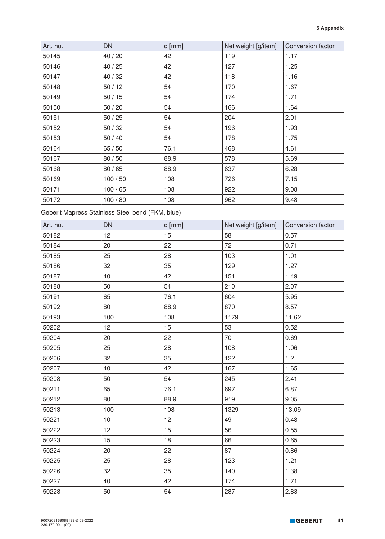| Art. no. | <b>DN</b> | $d$ [mm] | Net weight [g/item] | Conversion factor |
|----------|-----------|----------|---------------------|-------------------|
| 50145    | 40 / 20   | 42       | 119                 | 1.17              |
| 50146    | 40/25     | 42       | 127                 | 1.25              |
| 50147    | 40 / 32   | 42       | 118                 | 1.16              |
| 50148    | 50/12     | 54       | 170                 | 1.67              |
| 50149    | 50/15     | 54       | 174                 | 1.71              |
| 50150    | 50/20     | 54       | 166                 | 1.64              |
| 50151    | 50/25     | 54       | 204                 | 2.01              |
| 50152    | 50/32     | 54       | 196                 | 1.93              |
| 50153    | $50/40$   | 54       | 178                 | 1.75              |
| 50164    | 65/50     | 76.1     | 468                 | 4.61              |
| 50167    | 80 / 50   | 88.9     | 578                 | 5.69              |
| 50168    | 80/65     | 88.9     | 637                 | 6.28              |
| 50169    | 100/50    | 108      | 726                 | 7.15              |
| 50171    | 100/65    | 108      | 922                 | 9.08              |
| 50172    | 100/80    | 108      | 962                 | 9.48              |

Geberit Mapress Stainless Steel bend (FKM, blue)

| Art. no. | <b>DN</b> | $d$ [mm] | Net weight [g/item] | Conversion factor |
|----------|-----------|----------|---------------------|-------------------|
| 50182    | 12        | 15       | 58                  | 0.57              |
| 50184    | 20        | 22       | 72                  | 0.71              |
| 50185    | 25        | 28       | 103                 | 1.01              |
| 50186    | 32        | 35       | 129                 | 1.27              |
| 50187    | 40        | 42       | 151                 | 1.49              |
| 50188    | 50        | 54       | 210                 | 2.07              |
| 50191    | 65        | 76.1     | 604                 | 5.95              |
| 50192    | 80        | 88.9     | 870                 | 8.57              |
| 50193    | 100       | 108      | 1179                | 11.62             |
| 50202    | 12        | 15       | 53                  | 0.52              |
| 50204    | 20        | 22       | 70                  | 0.69              |
| 50205    | 25        | 28       | 108                 | 1.06              |
| 50206    | 32        | 35       | 122                 | 1.2               |
| 50207    | 40        | 42       | 167                 | 1.65              |
| 50208    | 50        | 54       | 245                 | 2.41              |
| 50211    | 65        | 76.1     | 697                 | 6.87              |
| 50212    | 80        | 88.9     | 919                 | 9.05              |
| 50213    | 100       | 108      | 1329                | 13.09             |
| 50221    | 10        | 12       | 49                  | 0.48              |
| 50222    | 12        | 15       | 56                  | 0.55              |
| 50223    | 15        | 18       | 66                  | 0.65              |
| 50224    | 20        | 22       | 87                  | 0.86              |
| 50225    | 25        | 28       | 123                 | 1.21              |
| 50226    | 32        | 35       | 140                 | 1.38              |
| 50227    | 40        | 42       | 174                 | 1.71              |
| 50228    | 50        | 54       | 287                 | 2.83              |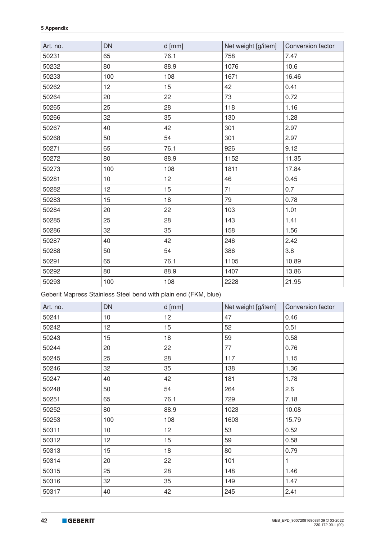| Art. no. | <b>DN</b> | $d$ [mm]        | Net weight [g/item] | Conversion factor |
|----------|-----------|-----------------|---------------------|-------------------|
| 50231    | 65        | 76.1            | 758                 | 7.47              |
| 50232    | 80        | 88.9            | 1076                | 10.6              |
| 50233    | 100       | 108             | 1671                | 16.46             |
| 50262    | 12        | 15              | 42                  | 0.41              |
| 50264    | 20        | 22              | 73                  | 0.72              |
| 50265    | 25        | 28              | 118                 | 1.16              |
| 50266    | 32        | 35              | 130                 | 1.28              |
| 50267    | 40        | 42              | 301                 | 2.97              |
| 50268    | 50        | 54              | 301                 | 2.97              |
| 50271    | 65        | 76.1            | 926                 | 9.12              |
| 50272    | 80        | 88.9            | 1152                | 11.35             |
| 50273    | 100       | 108             | 1811                | 17.84             |
| 50281    | 10        | 12 <sup>°</sup> | 46                  | 0.45              |
| 50282    | 12        | 15              | 71                  | 0.7               |
| 50283    | 15        | 18              | 79                  | 0.78              |
| 50284    | 20        | 22              | 103                 | 1.01              |
| 50285    | 25        | 28              | 143                 | 1.41              |
| 50286    | 32        | 35              | 158                 | 1.56              |
| 50287    | 40        | 42              | 246                 | 2.42              |
| 50288    | 50        | 54              | 386                 | 3.8               |
| 50291    | 65        | 76.1            | 1105                | 10.89             |
| 50292    | 80        | 88.9            | 1407                | 13.86             |
| 50293    | 100       | 108             | 2228                | 21.95             |

Geberit Mapress Stainless Steel bend with plain end (FKM, blue)

| Art. no. | <b>DN</b> | $d$ [mm]        | Net weight [g/item] | Conversion factor |
|----------|-----------|-----------------|---------------------|-------------------|
| 50241    | 10        | 12              | 47                  | 0.46              |
| 50242    | 12        | 15              | 52                  | 0.51              |
| 50243    | 15        | 18              | 59                  | 0.58              |
| 50244    | 20        | 22              | 77                  | 0.76              |
| 50245    | 25        | 28              | 117                 | 1.15              |
| 50246    | 32        | 35              | 138                 | 1.36              |
| 50247    | 40        | 42              | 181                 | 1.78              |
| 50248    | 50        | 54              | 264                 | 2.6               |
| 50251    | 65        | 76.1            | 729                 | 7.18              |
| 50252    | 80        | 88.9            | 1023                | 10.08             |
| 50253    | 100       | 108             | 1603                | 15.79             |
| 50311    | 10        | 12 <sub>2</sub> | 53                  | 0.52              |
| 50312    | 12        | 15              | 59                  | 0.58              |
| 50313    | 15        | 18              | 80                  | 0.79              |
| 50314    | 20        | 22              | 101                 | 1                 |
| 50315    | 25        | 28              | 148                 | 1.46              |
| 50316    | 32        | 35              | 149                 | 1.47              |
| 50317    | 40        | 42              | 245                 | 2.41              |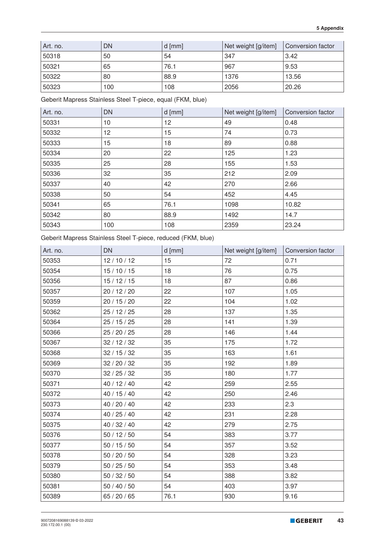| Art. no. | DN  | $d$ [mm] | Net weight [g/item] | Conversion factor |
|----------|-----|----------|---------------------|-------------------|
| 50318    | 50  | 54       | 347                 | 3.42              |
| 50321    | 65  | 76.1     | , 967               | 9.53              |
| 50322    | 80  | 88.9     | 1376                | 13.56             |
| 50323    | 100 | 108      | 2056                | 20.26             |

Geberit Mapress Stainless Steel T-piece, equal (FKM, blue)

| Art. no. | <b>DN</b> | $d$ [mm] | Net weight [g/item] | Conversion factor |
|----------|-----------|----------|---------------------|-------------------|
| 50331    | 10        | 12       | 49                  | 0.48              |
| 50332    | 12        | 15       | 74                  | 0.73              |
| 50333    | 15        | 18       | 89                  | 0.88              |
| 50334    | 20        | 22       | 125                 | 1.23              |
| 50335    | 25        | 28       | 155                 | 1.53              |
| 50336    | 32        | 35       | 212                 | 2.09              |
| 50337    | 40        | 42       | 270                 | 2.66              |
| 50338    | 50        | 54       | 452                 | 4.45              |
| 50341    | 65        | 76.1     | 1098                | 10.82             |
| 50342    | 80        | 88.9     | 1492                | 14.7              |
| 50343    | 100       | 108      | 2359                | 23.24             |

Geberit Mapress Stainless Steel T-piece, reduced (FKM, blue)

| Art. no. | <b>DN</b>    | $d$ [mm] | Net weight [g/item] | Conversion factor |
|----------|--------------|----------|---------------------|-------------------|
| 50353    | 12/10/12     | 15       | 72                  | 0.71              |
| 50354    | 15/10/15     | 18       | 76                  | 0.75              |
| 50356    | 15/12/15     | 18       | 87                  | 0.86              |
| 50357    | 20 / 12 / 20 | 22       | 107                 | 1.05              |
| 50359    | 20 / 15 / 20 | 22       | 104                 | 1.02              |
| 50362    | 25 / 12 / 25 | 28       | 137                 | 1.35              |
| 50364    | 25/15/25     | 28       | 141                 | 1.39              |
| 50366    | 25 / 20 / 25 | 28       | 146                 | 1.44              |
| 50367    | 32 / 12 / 32 | 35       | 175                 | 1.72              |
| 50368    | 32/15/32     | 35       | 163                 | 1.61              |
| 50369    | 32/20/32     | 35       | 192                 | 1.89              |
| 50370    | 32/25/32     | 35       | 180                 | 1.77              |
| 50371    | 40 / 12 / 40 | 42       | 259                 | 2.55              |
| 50372    | 40 / 15 / 40 | 42       | 250                 | 2.46              |
| 50373    | 40 / 20 / 40 | 42       | 233                 | 2.3               |
| 50374    | 40 / 25 / 40 | 42       | 231                 | 2.28              |
| 50375    | 40 / 32 / 40 | 42       | 279                 | 2.75              |
| 50376    | 50/12/50     | 54       | 383                 | 3.77              |
| 50377    | 50/15/50     | 54       | 357                 | 3.52              |
| 50378    | 50 / 20 / 50 | 54       | 328                 | 3.23              |
| 50379    | 50/25/50     | 54       | 353                 | 3.48              |
| 50380    | 50/32/50     | 54       | 388                 | 3.82              |
| 50381    | 50/40/50     | 54       | 403                 | 3.97              |
| 50389    | 65 / 20 / 65 | 76.1     | 930                 | 9.16              |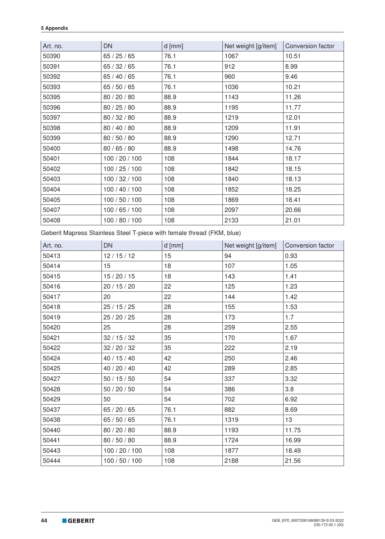| Art. no. | DN             | $d$ [mm] | Net weight [g/item] | Conversion factor |
|----------|----------------|----------|---------------------|-------------------|
| 50390    | 65/25/65       | 76.1     | 1067                | 10.51             |
| 50391    | 65/32/65       | 76.1     | 912                 | 8.99              |
| 50392    | 65 / 40 / 65   | 76.1     | 960                 | 9.46              |
| 50393    | 65 / 50 / 65   | 76.1     | 1036                | 10.21             |
| 50395    | 80 / 20 / 80   | 88.9     | 1143                | 11.26             |
| 50396    | 80 / 25 / 80   | 88.9     | 1195                | 11.77             |
| 50397    | 80 / 32 / 80   | 88.9     | 1219                | 12.01             |
| 50398    | 80 / 40 / 80   | 88.9     | 1209                | 11.91             |
| 50399    | 80 / 50 / 80   | 88.9     | 1290                | 12.71             |
| 50400    | 80 / 65 / 80   | 88.9     | 1498                | 14.76             |
| 50401    | 100 / 20 / 100 | 108      | 1844                | 18.17             |
| 50402    | 100 / 25 / 100 | 108      | 1842                | 18.15             |
| 50403    | 100 / 32 / 100 | 108      | 1840                | 18.13             |
| 50404    | 100 / 40 / 100 | 108      | 1852                | 18.25             |
| 50405    | 100 / 50 / 100 | 108      | 1869                | 18.41             |
| 50407    | 100 / 65 / 100 | 108      | 2097                | 20.66             |
| 50408    | 100 / 80 / 100 | 108      | 2133                | 21.01             |

Geberit Mapress Stainless Steel T-piece with female thread (FKM, blue)

| Art. no. | <b>DN</b>      | $d$ [mm] | Net weight [g/item] | Conversion factor |
|----------|----------------|----------|---------------------|-------------------|
| 50413    | 12/15/12       | 15       | 94                  | 0.93              |
| 50414    | 15             | 18       | 107                 | 1.05              |
| 50415    | 15/20/15       | 18       | 143                 | 1.41              |
| 50416    | 20 / 15 / 20   | 22       | 125                 | 1.23              |
| 50417    | 20             | 22       | 144                 | 1.42              |
| 50418    | 25 / 15 / 25   | 28       | 155                 | 1.53              |
| 50419    | 25 / 20 / 25   | 28       | 173                 | 1.7               |
| 50420    | 25             | 28       | 259                 | 2.55              |
| 50421    | 32/15/32       | 35       | 170                 | 1.67              |
| 50422    | 32 / 20 / 32   | 35       | 222                 | 2.19              |
| 50424    | 40 / 15 / 40   | 42       | 250                 | 2.46              |
| 50425    | 40 / 20 / 40   | 42       | 289                 | 2.85              |
| 50427    | 50/15/50       | 54       | 337                 | 3.32              |
| 50428    | 50 / 20 / 50   | 54       | 386                 | 3.8               |
| 50429    | 50             | 54       | 702                 | 6.92              |
| 50437    | 65 / 20 / 65   | 76.1     | 882                 | 8.69              |
| 50438    | 65 / 50 / 65   | 76.1     | 1319                | 13                |
| 50440    | 80 / 20 / 80   | 88.9     | 1193                | 11.75             |
| 50441    | 80 / 50 / 80   | 88.9     | 1724                | 16.99             |
| 50443    | 100 / 20 / 100 | 108      | 1877                | 18.49             |
| 50444    | 100 / 50 / 100 | 108      | 2188                | 21.56             |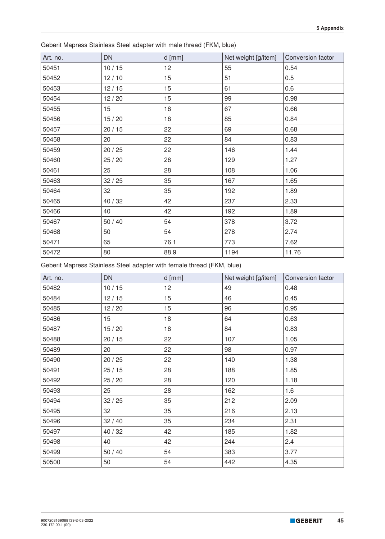| Art. no. | <b>DN</b> | $d$ [mm] | Net weight [g/item] | Conversion factor |
|----------|-----------|----------|---------------------|-------------------|
| 50451    | 10/15     | 12       | 55                  | 0.54              |
| 50452    | 12/10     | 15       | 51                  | 0.5               |
| 50453    | 12/15     | 15       | 61                  | 0.6               |
| 50454    | 12/20     | 15       | 99                  | 0.98              |
| 50455    | 15        | 18       | 67                  | 0.66              |
| 50456    | 15/20     | 18       | 85                  | 0.84              |
| 50457    | 20/15     | 22       | 69                  | 0.68              |
| 50458    | 20        | 22       | 84                  | 0.83              |
| 50459    | 20/25     | 22       | 146                 | 1.44              |
| 50460    | 25/20     | 28       | 129                 | 1.27              |
| 50461    | 25        | 28       | 108                 | 1.06              |
| 50463    | 32/25     | 35       | 167                 | 1.65              |
| 50464    | 32        | 35       | 192                 | 1.89              |
| 50465    | 40 / 32   | 42       | 237                 | 2.33              |
| 50466    | 40        | 42       | 192                 | 1.89              |
| 50467    | $50/40$   | 54       | 378                 | 3.72              |
| 50468    | 50        | 54       | 278                 | 2.74              |
| 50471    | 65        | 76.1     | 773                 | 7.62              |
| 50472    | 80        | 88.9     | 1194                | 11.76             |

Geberit Mapress Stainless Steel adapter with male thread (FKM, blue)

Geberit Mapress Stainless Steel adapter with female thread (FKM, blue)

| Art. no. | <b>DN</b> | $d$ [mm] | Net weight [g/item] | Conversion factor |
|----------|-----------|----------|---------------------|-------------------|
| 50482    | 10/15     | 12       | 49                  | 0.48              |
| 50484    | 12/15     | 15       | 46                  | 0.45              |
| 50485    | 12/20     | 15       | 96                  | 0.95              |
| 50486    | 15        | 18       | 64                  | 0.63              |
| 50487    | 15/20     | 18       | 84                  | 0.83              |
| 50488    | 20/15     | 22       | 107                 | 1.05              |
| 50489    | 20        | 22       | 98                  | 0.97              |
| 50490    | 20/25     | 22       | 140                 | 1.38              |
| 50491    | 25/15     | 28       | 188                 | 1.85              |
| 50492    | 25/20     | 28       | 120                 | 1.18              |
| 50493    | 25        | 28       | 162                 | 1.6               |
| 50494    | 32/25     | 35       | 212                 | 2.09              |
| 50495    | 32        | 35       | 216                 | 2.13              |
| 50496    | 32/40     | 35       | 234                 | 2.31              |
| 50497    | 40 / 32   | 42       | 185                 | 1.82              |
| 50498    | 40        | 42       | 244                 | 2.4               |
| 50499    | $50/40$   | 54       | 383                 | 3.77              |
| 50500    | 50        | 54       | 442                 | 4.35              |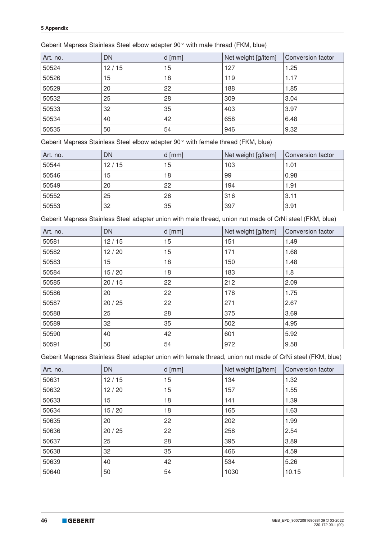|  |  | Geberit Mapress Stainless Steel elbow adapter 90° with male thread (FKM, blue) |
|--|--|--------------------------------------------------------------------------------|
|--|--|--------------------------------------------------------------------------------|

| Art. no. | <b>DN</b> | $d$ [mm] | Net weight [g/item] | Conversion factor |
|----------|-----------|----------|---------------------|-------------------|
| 50524    | 12/15     | 15       | 127                 | 1.25              |
| 50526    | 15        | 18       | 119                 | 1.17              |
| 50529    | 20        | 22       | 188                 | 1.85              |
| 50532    | 25        | 28       | 309                 | 3.04              |
| 50533    | 32        | 35       | 403                 | 3.97              |
| 50534    | 40        | 42       | 658                 | 6.48              |
| 50535    | 50        | 54       | 946                 | 9.32              |

Geberit Mapress Stainless Steel elbow adapter 90° with female thread (FKM, blue)

| Art. no. | <b>DN</b> | $d$ [mm] | Net weight [g/item] | Conversion factor |
|----------|-----------|----------|---------------------|-------------------|
| 50544    | 12/15     | 15       | 103                 | 1.01              |
| 50546    | 15        | 18       | 99                  | 0.98              |
| 50549    | 20        | 22       | 194                 | 1.91              |
| 50552    | 25        | 28       | 316                 | 3.11              |
| 50553    | 32        | 35       | 397                 | 3.91              |

Geberit Mapress Stainless Steel adapter union with male thread, union nut made of CrNi steel (FKM, blue)

| Art. no. | <b>DN</b> | $d$ [mm] | Net weight [g/item] | Conversion factor |
|----------|-----------|----------|---------------------|-------------------|
| 50581    | 12/15     | 15       | 151                 | 1.49              |
| 50582    | 12/20     | 15       | 171                 | 1.68              |
| 50583    | 15        | 18       | 150                 | 1.48              |
| 50584    | 15/20     | 18       | 183                 | 1.8               |
| 50585    | 20/15     | 22       | 212                 | 2.09              |
| 50586    | 20        | 22       | 178                 | 1.75              |
| 50587    | 20/25     | 22       | 271                 | 2.67              |
| 50588    | 25        | 28       | 375                 | 3.69              |
| 50589    | 32        | 35       | 502                 | 4.95              |
| 50590    | 40        | 42       | 601                 | 5.92              |
| 50591    | 50        | 54       | 972                 | 9.58              |

Geberit Mapress Stainless Steel adapter union with female thread, union nut made of CrNi steel (FKM, blue)

| Art. no. | <b>DN</b> | $d$ [mm] | Net weight [g/item] | Conversion factor |
|----------|-----------|----------|---------------------|-------------------|
| 50631    | 12/15     | 15       | 134                 | 1.32              |
| 50632    | 12/20     | 15       | 157                 | 1.55              |
| 50633    | 15        | 18       | 141                 | 1.39              |
| 50634    | 15/20     | 18       | 165                 | 1.63              |
| 50635    | 20        | 22       | 202                 | 1.99              |
| 50636    | 20/25     | 22       | 258                 | 2.54              |
| 50637    | 25        | 28       | 395                 | 3.89              |
| 50638    | 32        | 35       | 466                 | 4.59              |
| 50639    | 40        | 42       | 534                 | 5.26              |
| 50640    | 50        | 54       | 1030                | 10.15             |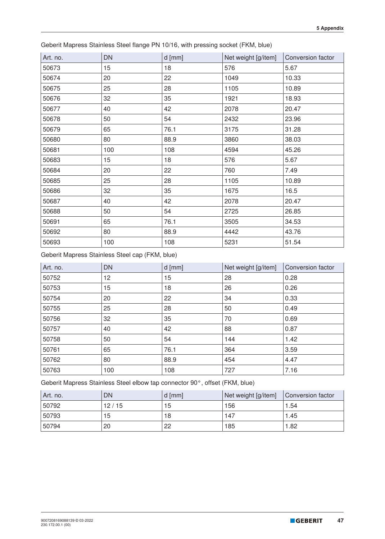| Art. no. | DN  | $d$ [mm] | Net weight [g/item] | Conversion factor |
|----------|-----|----------|---------------------|-------------------|
| 50673    | 15  | 18       | 576                 | 5.67              |
| 50674    | 20  | 22       | 1049                | 10.33             |
| 50675    | 25  | 28       | 1105                | 10.89             |
| 50676    | 32  | 35       | 1921                | 18.93             |
| 50677    | 40  | 42       | 2078                | 20.47             |
| 50678    | 50  | 54       | 2432                | 23.96             |
| 50679    | 65  | 76.1     | 3175                | 31.28             |
| 50680    | 80  | 88.9     | 3860                | 38.03             |
| 50681    | 100 | 108      | 4594                | 45.26             |
| 50683    | 15  | 18       | 576                 | 5.67              |
| 50684    | 20  | 22       | 760                 | 7.49              |
| 50685    | 25  | 28       | 1105                | 10.89             |
| 50686    | 32  | 35       | 1675                | 16.5              |
| 50687    | 40  | 42       | 2078                | 20.47             |
| 50688    | 50  | 54       | 2725                | 26.85             |
| 50691    | 65  | 76.1     | 3505                | 34.53             |
| 50692    | 80  | 88.9     | 4442                | 43.76             |
| 50693    | 100 | 108      | 5231                | 51.54             |

Geberit Mapress Stainless Steel flange PN 10/16, with pressing socket (FKM, blue)

Geberit Mapress Stainless Steel cap (FKM, blue)

| Art. no. | <b>DN</b> | $d$ [mm] | Net weight [g/item] | Conversion factor |
|----------|-----------|----------|---------------------|-------------------|
| 50752    | 12        | 15       | 28                  | 0.28              |
| 50753    | 15        | 18       | 26                  | 0.26              |
| 50754    | 20        | 22       | 34                  | 0.33              |
| 50755    | 25        | 28       | 50                  | 0.49              |
| 50756    | 32        | 35       | 70                  | 0.69              |
| 50757    | 40        | 42       | 88                  | 0.87              |
| 50758    | 50        | 54       | 144                 | 1.42              |
| 50761    | 65        | 76.1     | 364                 | 3.59              |
| 50762    | 80        | 88.9     | 454                 | 4.47              |
| 50763    | 100       | 108      | 727                 | 7.16              |

Geberit Mapress Stainless Steel elbow tap connector 90°, offset (FKM, blue)

| Art. no. | DN    | $d$ [mm] | Net weight [g/item] | Conversion factor |
|----------|-------|----------|---------------------|-------------------|
| 50792    | 12/15 | 15       | 156                 | 1.54              |
| 50793    | 15    | 18       | 147                 | 1.45              |
| 50794    | 20    | 22       | 185                 | 1.82              |